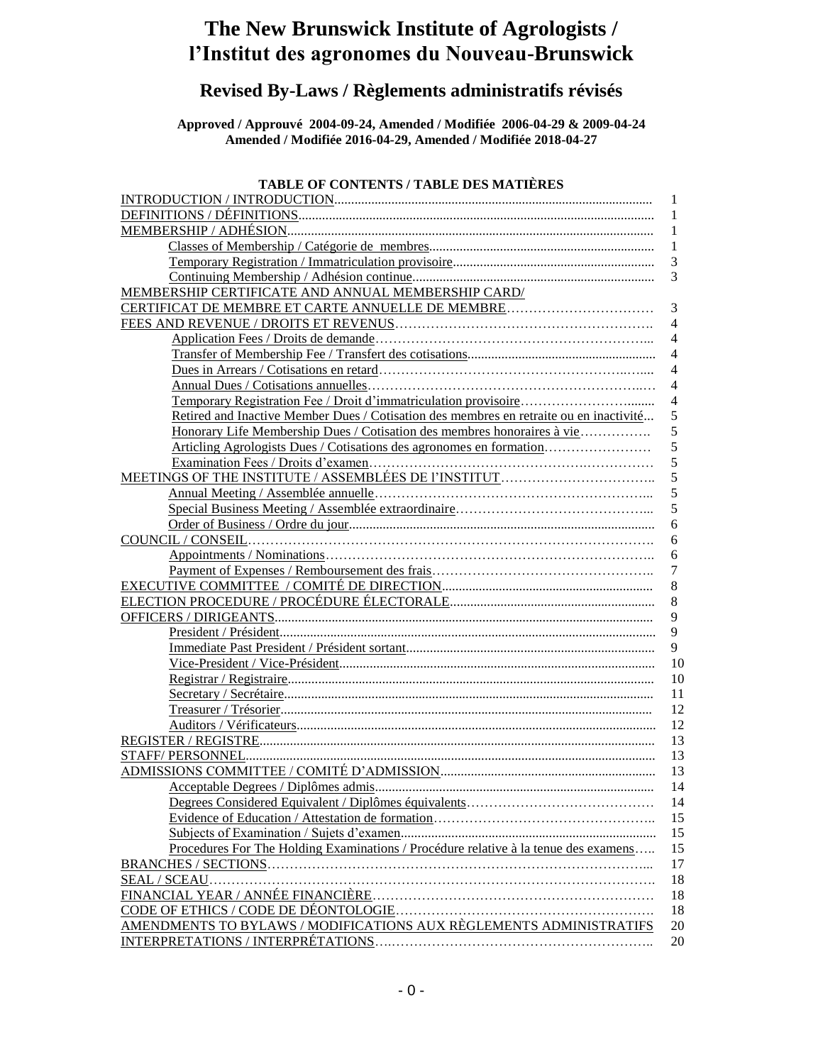# **The New Brunswick Institute of Agrologists / l'Institut des agronomes du Nouveau-Brunswick**

# **Revised By-Laws / Règlements administratifs révisés**

**Approved / Approuvé 2004-09-24, Amended / Modifiée 2006-04-29 & 2009-04-24 Amended / Modifiée 2016-04-29, Amended / Modifiée 2018-04-27**

# **TABLE OF CONTENTS / TABLE DES MATIÈRES**

|                                                                                        | 1                |
|----------------------------------------------------------------------------------------|------------------|
|                                                                                        | 1                |
|                                                                                        | 1                |
|                                                                                        | $\mathbf{1}$     |
|                                                                                        | 3                |
|                                                                                        | 3                |
| MEMBERSHIP CERTIFICATE AND ANNUAL MEMBERSHIP CARD/                                     |                  |
| CERTIFICAT DE MEMBRE ET CARTE ANNUELLE DE MEMBRE                                       | 3                |
|                                                                                        | $\overline{4}$   |
|                                                                                        | $\overline{4}$   |
|                                                                                        | $\overline{4}$   |
|                                                                                        | $\overline{4}$   |
|                                                                                        | $\overline{4}$   |
|                                                                                        | $\overline{4}$   |
| Retired and Inactive Member Dues / Cotisation des membres en retraite ou en inactivité | 5                |
| Honorary Life Membership Dues / Cotisation des membres honoraires à vie                | 5                |
| Articling Agrologists Dues / Cotisations des agronomes en formation                    | 5                |
|                                                                                        | 5                |
|                                                                                        | 5                |
|                                                                                        | 5                |
|                                                                                        | 5                |
|                                                                                        | 6                |
|                                                                                        | 6                |
|                                                                                        | 6                |
|                                                                                        | $\boldsymbol{7}$ |
|                                                                                        | 8                |
|                                                                                        | 8                |
|                                                                                        | 9                |
|                                                                                        | 9                |
|                                                                                        | 9                |
|                                                                                        | 10               |
|                                                                                        | 10               |
|                                                                                        | 11               |
|                                                                                        | 12               |
|                                                                                        | 12               |
|                                                                                        | 13               |
|                                                                                        | 13               |
|                                                                                        | 13               |
|                                                                                        | 14               |
|                                                                                        | 14               |
|                                                                                        | 15               |
|                                                                                        | 15               |
| Procedures For The Holding Examinations / Procédure relative à la tenue des examens    | 15               |
|                                                                                        | 17               |
| <b>SEAL / SCEAU</b>                                                                    | 18               |
|                                                                                        | 18               |
|                                                                                        | 18               |
| <u>AMENDMENTS TO BYLAWS / MODIFICATIONS AUX RÈGLEMENTS ADMINISTRATIFS</u>              | 20               |
|                                                                                        | 20               |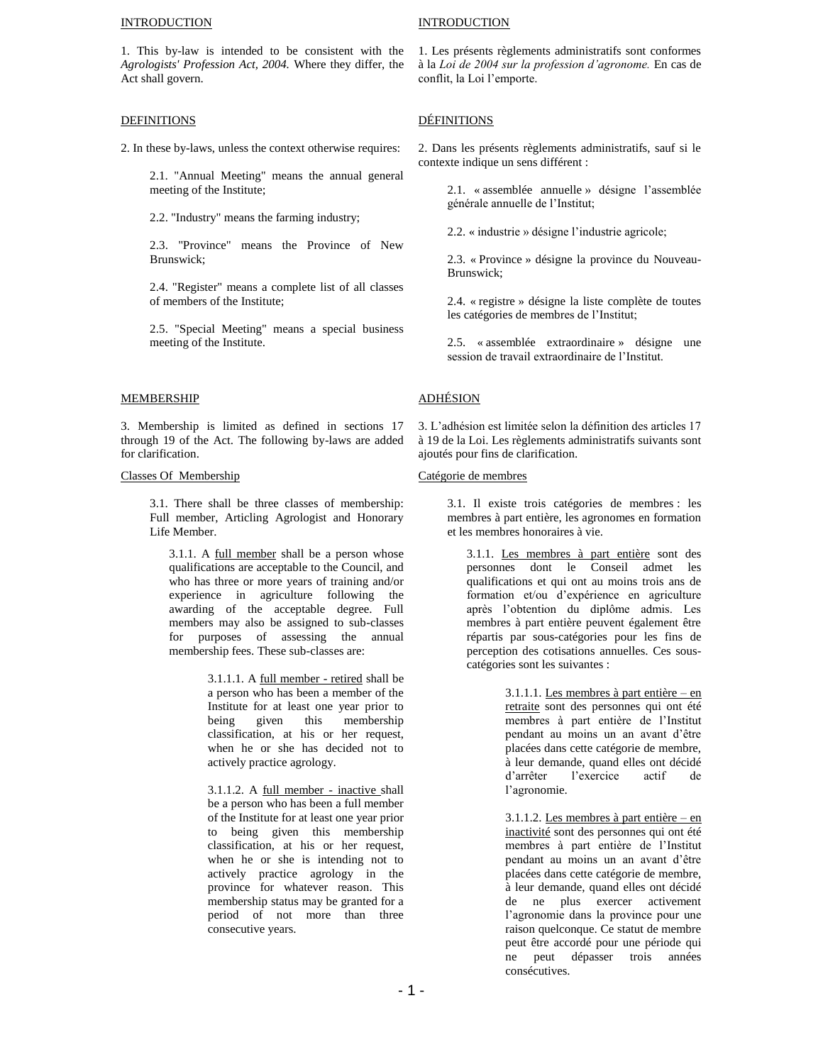#### **INTRODUCTION**

1. This by-law is intended to be consistent with the *Agrologists' Profession Act, 2004.* Where they differ, the Act shall govern.

### DEFINITIONS

2. In these by-laws, unless the context otherwise requires:

2.1. "Annual Meeting" means the annual general meeting of the Institute;

2.2. "Industry" means the farming industry;

2.3. "Province" means the Province of New Brunswick;

2.4. "Register" means a complete list of all classes of members of the Institute;

2.5. "Special Meeting" means a special business meeting of the Institute.

## MEMBERSHIP

3. Membership is limited as defined in sections 17 through 19 of the Act. The following by-laws are added for clarification.

### Classes Of Membership

3.1. There shall be three classes of membership: Full member, Articling Agrologist and Honorary Life Member.

3.1.1. A full member shall be a person whose qualifications are acceptable to the Council, and who has three or more years of training and/or experience in agriculture following the awarding of the acceptable degree. Full members may also be assigned to sub-classes for purposes of assessing the annual membership fees. These sub-classes are:

> 3.1.1.1. A full member - retired shall be a person who has been a member of the Institute for at least one year prior to being given this membership classification, at his or her request, when he or she has decided not to actively practice agrology.

3.1.1.2. A full member - inactive shall be a person who has been a full member of the Institute for at least one year prior to being given this membership classification, at his or her request, when he or she is intending not to actively practice agrology in the province for whatever reason. This membership status may be granted for a period of not more than three consecutive years.

# **INTRODUCTION**

1. Les présents règlements administratifs sont conformes à la *Loi de 2004 sur la profession d'agronome.* En cas de conflit, la Loi l'emporte.

# DÉFINITIONS

2. Dans les présents règlements administratifs, sauf si le contexte indique un sens différent :

> 2.1. « assemblée annuelle » désigne l'assemblée générale annuelle de l'Institut;

2.2. « industrie » désigne l'industrie agricole;

2.3. « Province » désigne la province du Nouveau-Brunswick;

2.4. « registre » désigne la liste complète de toutes les catégories de membres de l'Institut;

2.5. « assemblée extraordinaire » désigne une session de travail extraordinaire de l'Institut.

# ADHÉSION

3. L'adhésion est limitée selon la définition des articles 17 à 19 de la Loi. Les règlements administratifs suivants sont ajoutés pour fins de clarification.

### Catégorie de membres

3.1. Il existe trois catégories de membres : les membres à part entière, les agronomes en formation et les membres honoraires à vie.

3.1.1. Les membres à part entière sont des personnes dont le Conseil admet les qualifications et qui ont au moins trois ans de formation et/ou d'expérience en agriculture après l'obtention du diplôme admis. Les membres à part entière peuvent également être répartis par sous-catégories pour les fins de perception des cotisations annuelles. Ces souscatégories sont les suivantes :

> 3.1.1.1. Les membres à part entière – en retraite sont des personnes qui ont été membres à part entière de l'Institut pendant au moins un an avant d'être placées dans cette catégorie de membre, à leur demande, quand elles ont décidé d'arrêter l'exercice actif de l'agronomie.

> 3.1.1.2. Les membres à part entière – en inactivité sont des personnes qui ont été membres à part entière de l'Institut pendant au moins un an avant d'être placées dans cette catégorie de membre, à leur demande, quand elles ont décidé de ne plus exercer activement l'agronomie dans la province pour une raison quelconque. Ce statut de membre peut être accordé pour une période qui ne peut dépasser trois années consécutives.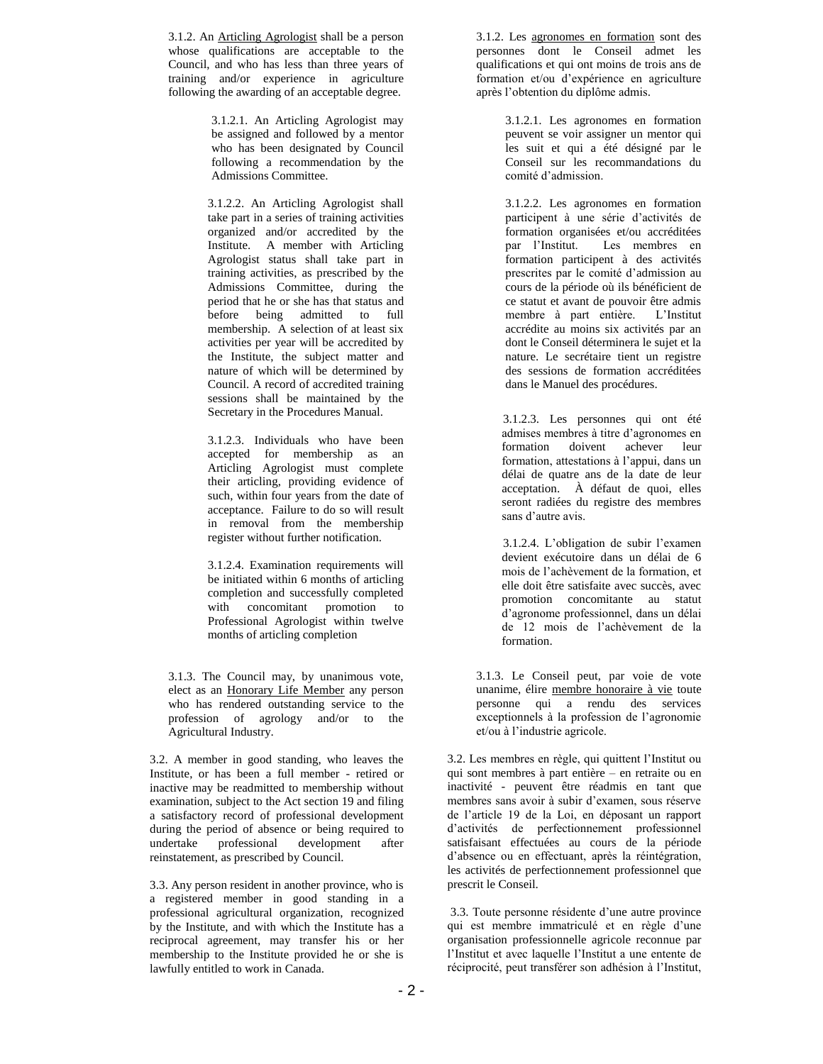3.1.2. An Articling Agrologist shall be a person whose qualifications are acceptable to the Council, and who has less than three years of training and/or experience in agriculture following the awarding of an acceptable degree.

> 3.1.2.1. An Articling Agrologist may be assigned and followed by a mentor who has been designated by Council following a recommendation by the Admissions Committee.

3.1.2.2. An Articling Agrologist shall take part in a series of training activities organized and/or accredited by the Institute. A member with Articling Agrologist status shall take part in training activities, as prescribed by the Admissions Committee, during the period that he or she has that status and before being admitted to full membership. A selection of at least six activities per year will be accredited by the Institute, the subject matter and nature of which will be determined by Council. A record of accredited training sessions shall be maintained by the Secretary in the Procedures Manual.

3.1.2.3. Individuals who have been accepted for membership as an Articling Agrologist must complete their articling, providing evidence of such, within four years from the date of acceptance. Failure to do so will result in removal from the membership register without further notification.

3.1.2.4. Examination requirements will be initiated within 6 months of articling completion and successfully completed with concomitant promotion to Professional Agrologist within twelve months of articling completion

3.1.3. The Council may, by unanimous vote, elect as an Honorary Life Member any person who has rendered outstanding service to the profession of agrology and/or to the Agricultural Industry.

3.2. A member in good standing, who leaves the Institute, or has been a full member - retired or inactive may be readmitted to membership without examination, subject to the Act section 19 and filing a satisfactory record of professional development during the period of absence or being required to undertake professional development after reinstatement, as prescribed by Council.

3.3. Any person resident in another province, who is a registered member in good standing in a professional agricultural organization, recognized by the Institute, and with which the Institute has a reciprocal agreement, may transfer his or her membership to the Institute provided he or she is lawfully entitled to work in Canada.

3.1.2. Les agronomes en formation sont des personnes dont le Conseil admet les qualifications et qui ont moins de trois ans de formation et/ou d'expérience en agriculture après l'obtention du diplôme admis.

> 3.1.2.1. Les agronomes en formation peuvent se voir assigner un mentor qui les suit et qui a été désigné par le Conseil sur les recommandations du comité d'admission.

> 3.1.2.2. Les agronomes en formation participent à une série d'activités de formation organisées et/ou accréditées<br>par l'Institut. Les membres en Les membres en formation participent à des activités prescrites par le comité d'admission au cours de la période où ils bénéficient de ce statut et avant de pouvoir être admis membre à part entière. L'Institut accrédite au moins six activités par an dont le Conseil déterminera le sujet et la nature. Le secrétaire tient un registre des sessions de formation accréditées dans le Manuel des procédures.

 3.1.2.3. Les personnes qui ont été admises membres à titre d'agronomes en formation doivent achever leur formation, attestations à l'appui, dans un délai de quatre ans de la date de leur acceptation. À défaut de quoi, elles seront radiées du registre des membres sans d'autre avis.

 3.1.2.4. L'obligation de subir l'examen devient exécutoire dans un délai de 6 mois de l'achèvement de la formation, et elle doit être satisfaite avec succès, avec promotion concomitante au statut d'agronome professionnel, dans un délai de 12 mois de l'achèvement de la formation.

3.1.3. Le Conseil peut, par voie de vote unanime, élire membre honoraire à vie toute personne qui a rendu des services exceptionnels à la profession de l'agronomie et/ou à l'industrie agricole.

3.2. Les membres en règle, qui quittent l'Institut ou qui sont membres à part entière – en retraite ou en inactivité - peuvent être réadmis en tant que membres sans avoir à subir d'examen, sous réserve de l'article 19 de la Loi, en déposant un rapport d'activités de perfectionnement professionnel satisfaisant effectuées au cours de la période d'absence ou en effectuant, après la réintégration, les activités de perfectionnement professionnel que prescrit le Conseil.

3.3. Toute personne résidente d'une autre province qui est membre immatriculé et en règle d'une organisation professionnelle agricole reconnue par l'Institut et avec laquelle l'Institut a une entente de réciprocité, peut transférer son adhésion à l'Institut,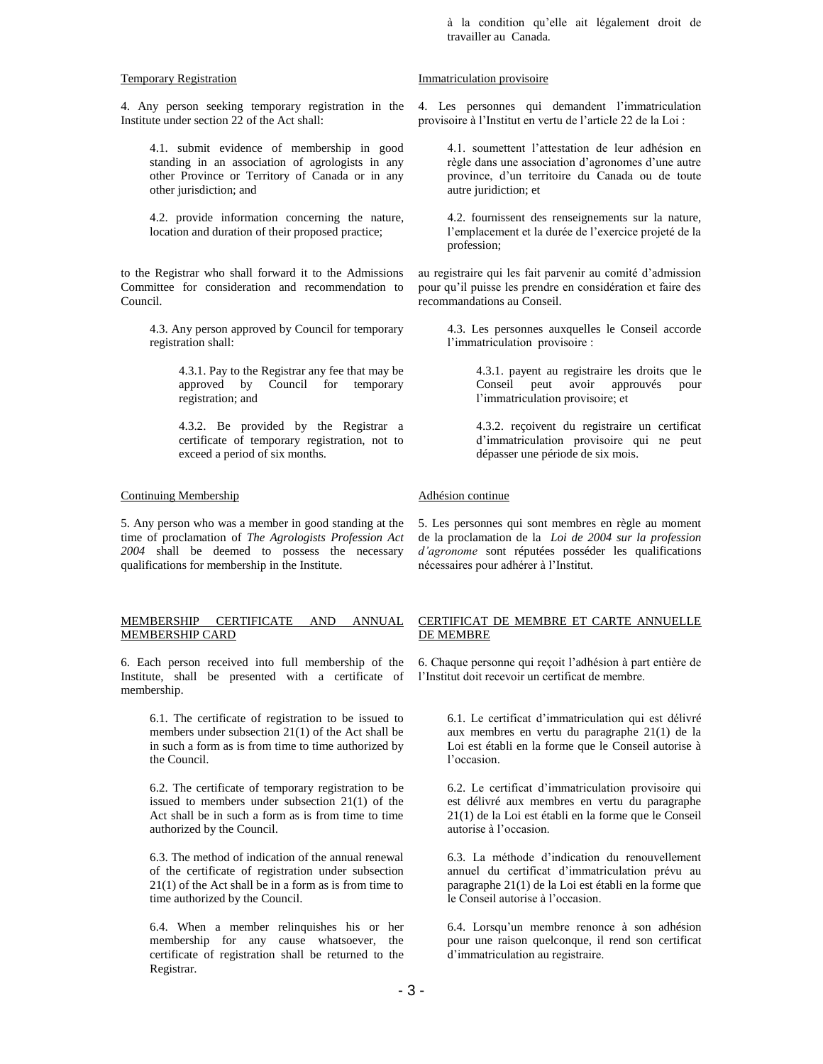à la condition qu'elle ait légalement droit de travailler au Canada*.*

### Temporary Registration

4. Any person seeking temporary registration in the Institute under section 22 of the Act shall:

4.1. submit evidence of membership in good standing in an association of agrologists in any other Province or Territory of Canada or in any other jurisdiction; and

4.2. provide information concerning the nature, location and duration of their proposed practice;

to the Registrar who shall forward it to the Admissions Committee for consideration and recommendation to Council.

4.3. Any person approved by Council for temporary registration shall:

> 4.3.1. Pay to the Registrar any fee that may be approved by Council for temporary registration; and

> 4.3.2. Be provided by the Registrar a certificate of temporary registration, not to exceed a period of six months.

# Continuing Membership

5. Any person who was a member in good standing at the time of proclamation of *The Agrologists Profession Act 2004* shall be deemed to possess the necessary qualifications for membership in the Institute.

# MEMBERSHIP CERTIFICATE AND ANNUAL MEMBERSHIP CARD

6. Each person received into full membership of the Institute, shall be presented with a certificate of membership.

> 6.1. The certificate of registration to be issued to members under subsection 21(1) of the Act shall be in such a form as is from time to time authorized by the Council.

> 6.2. The certificate of temporary registration to be issued to members under subsection 21(1) of the Act shall be in such a form as is from time to time authorized by the Council.

> 6.3. The method of indication of the annual renewal of the certificate of registration under subsection 21(1) of the Act shall be in a form as is from time to time authorized by the Council.

6.4. When a member relinquishes his or her membership for any cause whatsoever, the certificate of registration shall be returned to the Registrar.

## Immatriculation provisoire

4. Les personnes qui demandent l'immatriculation provisoire à l'Institut en vertu de l'article 22 de la Loi :

4.1. soumettent l'attestation de leur adhésion en règle dans une association d'agronomes d'une autre province, d'un territoire du Canada ou de toute autre juridiction; et

4.2. fournissent des renseignements sur la nature, l'emplacement et la durée de l'exercice projeté de la profession;

au registraire qui les fait parvenir au comité d'admission pour qu'il puisse les prendre en considération et faire des recommandations au Conseil.

4.3. Les personnes auxquelles le Conseil accorde l'immatriculation provisoire :

> 4.3.1. payent au registraire les droits que le Conseil peut avoir approuvés pour l'immatriculation provisoire; et

> 4.3.2. reçoivent du registraire un certificat d'immatriculation provisoire qui ne peut dépasser une période de six mois.

# Adhésion continue

5. Les personnes qui sont membres en règle au moment de la proclamation de la *Loi de 2004 sur la profession d'agronome* sont réputées posséder les qualifications nécessaires pour adhérer à l'Institut.

# CERTIFICAT DE MEMBRE ET CARTE ANNUELLE DE MEMBRE

6. Chaque personne qui reçoit l'adhésion à part entière de l'Institut doit recevoir un certificat de membre.

> 6.1. Le certificat d'immatriculation qui est délivré aux membres en vertu du paragraphe 21(1) de la Loi est établi en la forme que le Conseil autorise à l'occasion.

> 6.2. Le certificat d'immatriculation provisoire qui est délivré aux membres en vertu du paragraphe 21(1) de la Loi est établi en la forme que le Conseil autorise à l'occasion.

> 6.3. La méthode d'indication du renouvellement annuel du certificat d'immatriculation prévu au paragraphe 21(1) de la Loi est établi en la forme que le Conseil autorise à l'occasion.

> 6.4. Lorsqu'un membre renonce à son adhésion pour une raison quelconque, il rend son certificat d'immatriculation au registraire.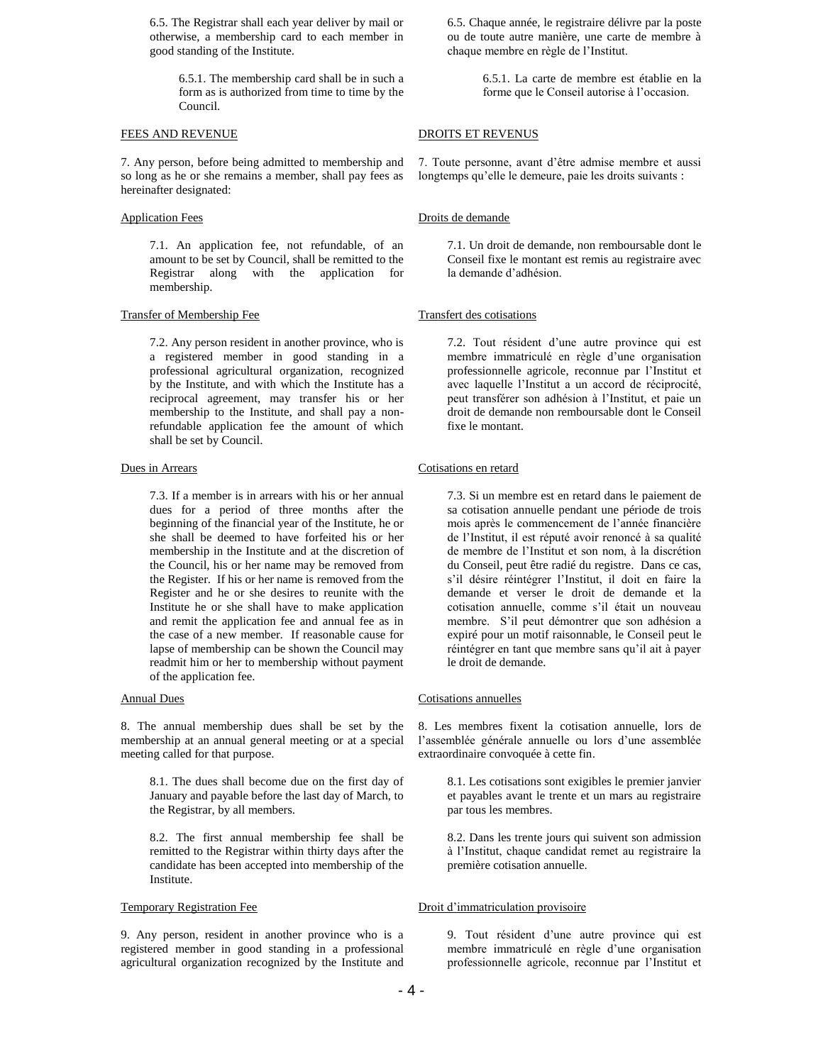6.5. The Registrar shall each year deliver by mail or otherwise, a membership card to each member in good standing of the Institute.

> 6.5.1. The membership card shall be in such a form as is authorized from time to time by the Council.

### FEES AND REVENUE

7. Any person, before being admitted to membership and so long as he or she remains a member, shall pay fees as hereinafter designated:

### Application Fees

7.1. An application fee, not refundable, of an amount to be set by Council, shall be remitted to the Registrar along with the application for membership.

#### Transfer of Membership Fee

7.2. Any person resident in another province, who is a registered member in good standing in a professional agricultural organization, recognized by the Institute, and with which the Institute has a reciprocal agreement, may transfer his or her membership to the Institute, and shall pay a nonrefundable application fee the amount of which shall be set by Council.

### Dues in Arrears

7.3. If a member is in arrears with his or her annual dues for a period of three months after the beginning of the financial year of the Institute, he or she shall be deemed to have forfeited his or her membership in the Institute and at the discretion of the Council, his or her name may be removed from the Register. If his or her name is removed from the Register and he or she desires to reunite with the Institute he or she shall have to make application and remit the application fee and annual fee as in the case of a new member. If reasonable cause for lapse of membership can be shown the Council may readmit him or her to membership without payment of the application fee.

### Annual Dues

8. The annual membership dues shall be set by the membership at an annual general meeting or at a special meeting called for that purpose.

8.1. The dues shall become due on the first day of January and payable before the last day of March, to the Registrar, by all members.

8.2. The first annual membership fee shall be remitted to the Registrar within thirty days after the candidate has been accepted into membership of the Institute.

### Temporary Registration Fee

9. Any person, resident in another province who is a registered member in good standing in a professional agricultural organization recognized by the Institute and 6.5. Chaque année, le registraire délivre par la poste ou de toute autre manière, une carte de membre à chaque membre en règle de l'Institut.

> 6.5.1. La carte de membre est établie en la forme que le Conseil autorise à l'occasion.

### DROITS ET REVENUS

7. Toute personne, avant d'être admise membre et aussi longtemps qu'elle le demeure, paie les droits suivants :

### Droits de demande

7.1. Un droit de demande, non remboursable dont le Conseil fixe le montant est remis au registraire avec la demande d'adhésion.

### Transfert des cotisations

7.2. Tout résident d'une autre province qui est membre immatriculé en règle d'une organisation professionnelle agricole, reconnue par l'Institut et avec laquelle l'Institut a un accord de réciprocité, peut transférer son adhésion à l'Institut, et paie un droit de demande non remboursable dont le Conseil fixe le montant.

#### Cotisations en retard

7.3. Si un membre est en retard dans le paiement de sa cotisation annuelle pendant une période de trois mois après le commencement de l'année financière de l'Institut, il est réputé avoir renoncé à sa qualité de membre de l'Institut et son nom, à la discrétion du Conseil, peut être radié du registre. Dans ce cas, s'il désire réintégrer l'Institut, il doit en faire la demande et verser le droit de demande et la cotisation annuelle, comme s'il était un nouveau membre. S'il peut démontrer que son adhésion a expiré pour un motif raisonnable, le Conseil peut le réintégrer en tant que membre sans qu'il ait à payer le droit de demande.

### Cotisations annuelles

8. Les membres fixent la cotisation annuelle, lors de l'assemblée générale annuelle ou lors d'une assemblée extraordinaire convoquée à cette fin.

8.1. Les cotisations sont exigibles le premier janvier et payables avant le trente et un mars au registraire par tous les membres.

8.2. Dans les trente jours qui suivent son admission à l'Institut, chaque candidat remet au registraire la première cotisation annuelle.

#### Droit d'immatriculation provisoire

9. Tout résident d'une autre province qui est membre immatriculé en règle d'une organisation professionnelle agricole, reconnue par l'Institut et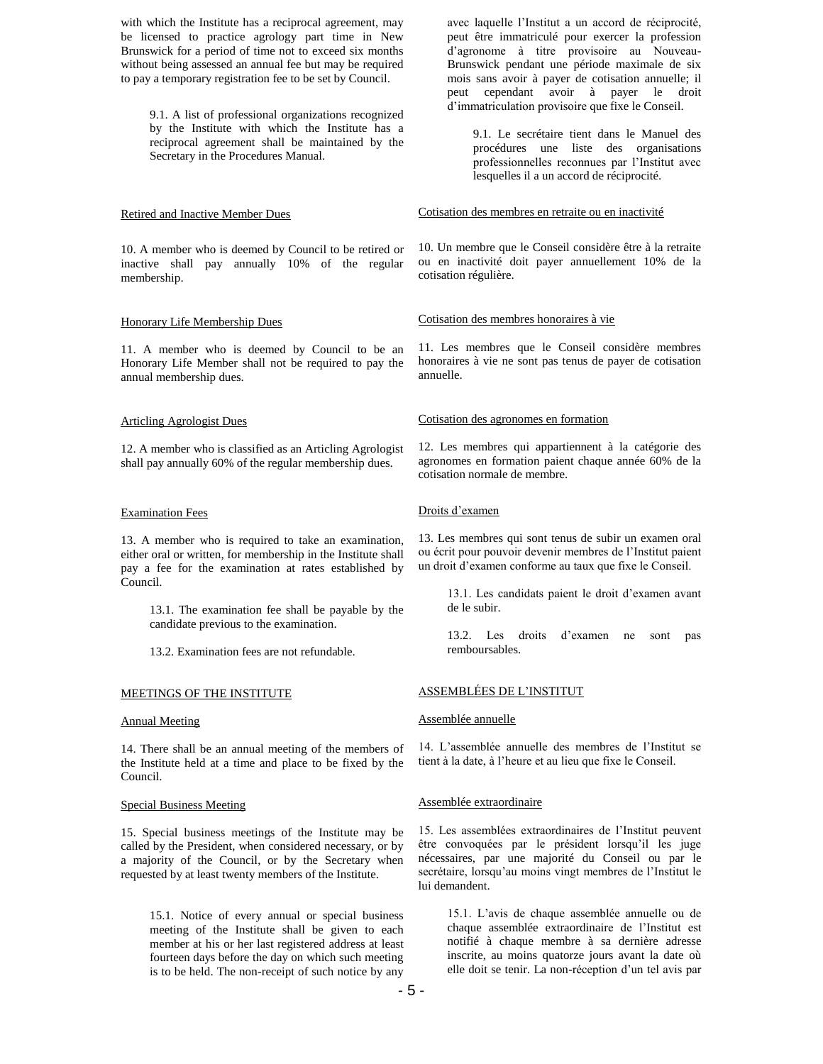with which the Institute has a reciprocal agreement, may be licensed to practice agrology part time in New Brunswick for a period of time not to exceed six months without being assessed an annual fee but may be required to pay a temporary registration fee to be set by Council.

9.1. A list of professional organizations recognized by the Institute with which the Institute has a reciprocal agreement shall be maintained by the Secretary in the Procedures Manual.

### Retired and Inactive Member Dues

10. A member who is deemed by Council to be retired or inactive shall pay annually 10% of the regular membership.

### Honorary Life Membership Dues

11. A member who is deemed by Council to be an Honorary Life Member shall not be required to pay the annual membership dues.

### Articling Agrologist Dues

12. A member who is classified as an Articling Agrologist shall pay annually 60% of the regular membership dues.

### Examination Fees

13. A member who is required to take an examination, either oral or written, for membership in the Institute shall pay a fee for the examination at rates established by Council.

> 13.1. The examination fee shall be payable by the candidate previous to the examination.

13.2. Examination fees are not refundable.

# MEETINGS OF THE INSTITUTE

### Annual Meeting

14. There shall be an annual meeting of the members of the Institute held at a time and place to be fixed by the Council.

### Special Business Meeting

15. Special business meetings of the Institute may be called by the President, when considered necessary, or by a majority of the Council, or by the Secretary when requested by at least twenty members of the Institute.

15.1. Notice of every annual or special business meeting of the Institute shall be given to each member at his or her last registered address at least fourteen days before the day on which such meeting is to be held. The non-receipt of such notice by any

avec laquelle l'Institut a un accord de réciprocité, peut être immatriculé pour exercer la profession d'agronome à titre provisoire au Nouveau-Brunswick pendant une période maximale de six mois sans avoir à payer de cotisation annuelle; il peut cependant avoir à payer le droit d'immatriculation provisoire que fixe le Conseil.

9.1. Le secrétaire tient dans le Manuel des procédures une liste des organisations professionnelles reconnues par l'Institut avec lesquelles il a un accord de réciprocité.

## Cotisation des membres en retraite ou en inactivité

10. Un membre que le Conseil considère être à la retraite ou en inactivité doit payer annuellement 10% de la cotisation régulière.

### Cotisation des membres honoraires à vie

11. Les membres que le Conseil considère membres honoraires à vie ne sont pas tenus de payer de cotisation annuelle.

# Cotisation des agronomes en formation

12. Les membres qui appartiennent à la catégorie des agronomes en formation paient chaque année 60% de la cotisation normale de membre.

### Droits d'examen

13. Les membres qui sont tenus de subir un examen oral ou écrit pour pouvoir devenir membres de l'Institut paient un droit d'examen conforme au taux que fixe le Conseil.

> 13.1. Les candidats paient le droit d'examen avant de le subir.

> 13.2. Les droits d'examen ne sont pas remboursables.

# ASSEMBLÉES DE L'INSTITUT

### Assemblée annuelle

14. L'assemblée annuelle des membres de l'Institut se tient à la date, à l'heure et au lieu que fixe le Conseil.

### Assemblée extraordinaire

15. Les assemblées extraordinaires de l'Institut peuvent être convoquées par le président lorsqu'il les juge nécessaires, par une majorité du Conseil ou par le secrétaire, lorsqu'au moins vingt membres de l'Institut le lui demandent.

15.1. L'avis de chaque assemblée annuelle ou de chaque assemblée extraordinaire de l'Institut est notifié à chaque membre à sa dernière adresse inscrite, au moins quatorze jours avant la date où elle doit se tenir. La non-réception d'un tel avis par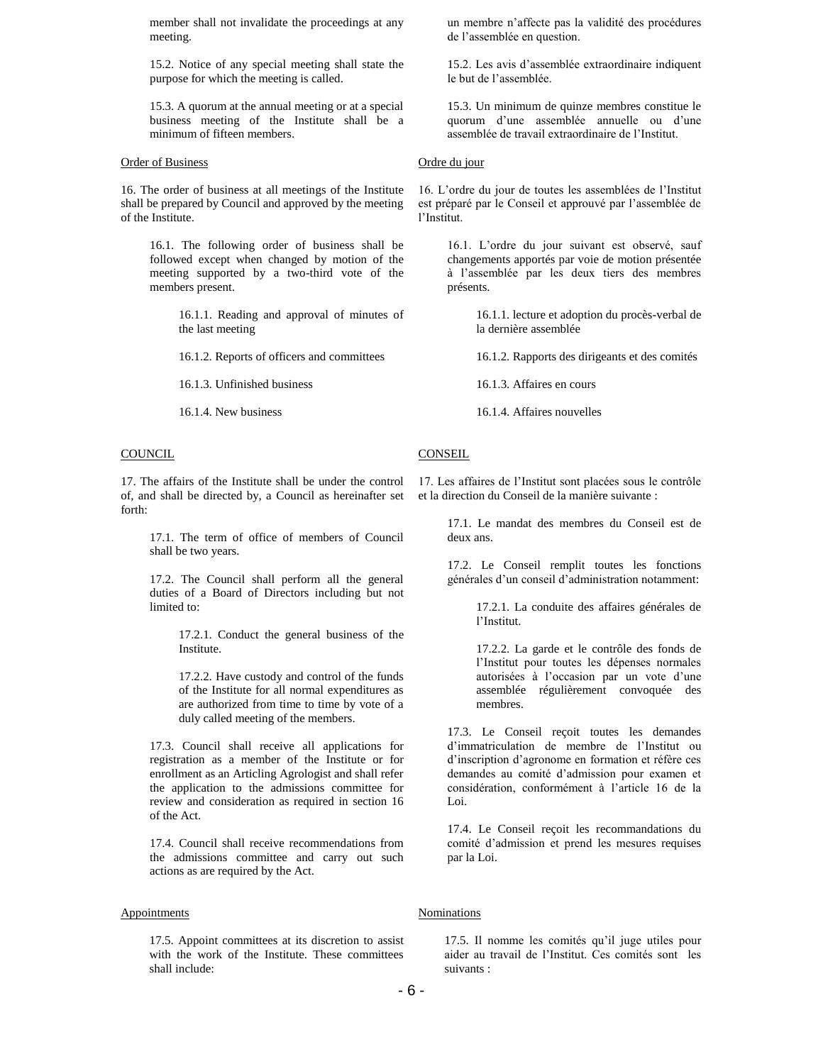member shall not invalidate the proceedings at any meeting.

15.2. Notice of any special meeting shall state the purpose for which the meeting is called.

15.3. A quorum at the annual meeting or at a special business meeting of the Institute shall be a minimum of fifteen members.

### Order of Business

16. The order of business at all meetings of the Institute shall be prepared by Council and approved by the meeting of the Institute.

16.1. The following order of business shall be followed except when changed by motion of the meeting supported by a two-third vote of the members present.

> 16.1.1. Reading and approval of minutes of the last meeting

16.1.2. Reports of officers and committees

16.1.3. Unfinished business

16.1.4. New business

### **COUNCIL**

17. The affairs of the Institute shall be under the control of, and shall be directed by, a Council as hereinafter set forth:

17.1. The term of office of members of Council shall be two years.

17.2. The Council shall perform all the general duties of a Board of Directors including but not limited to:

> 17.2.1. Conduct the general business of the Institute.

> 17.2.2. Have custody and control of the funds of the Institute for all normal expenditures as are authorized from time to time by vote of a duly called meeting of the members.

17.3. Council shall receive all applications for registration as a member of the Institute or for enrollment as an Articling Agrologist and shall refer the application to the admissions committee for review and consideration as required in section 16 of the Act.

17.4. Council shall receive recommendations from the admissions committee and carry out such actions as are required by the Act.

## **Appointments**

17.5. Appoint committees at its discretion to assist with the work of the Institute. These committees shall include:

un membre n'affecte pas la validité des procédures de l'assemblée en question.

15.2. Les avis d'assemblée extraordinaire indiquent le but de l'assemblée.

15.3. Un minimum de quinze membres constitue le quorum d'une assemblée annuelle ou d'une assemblée de travail extraordinaire de l'Institut.

# Ordre du jour

16. L'ordre du jour de toutes les assemblées de l'Institut est préparé par le Conseil et approuvé par l'assemblée de l'Institut.

> 16.1. L'ordre du jour suivant est observé, sauf changements apportés par voie de motion présentée à l'assemblée par les deux tiers des membres présents.

> > 16.1.1. lecture et adoption du procès-verbal de la dernière assemblée

> > 16.1.2. Rapports des dirigeants et des comités

16.1.3. Affaires en cours

16.1.4. Affaires nouvelles

### **CONSEIL**

17. Les affaires de l'Institut sont placées sous le contrôle et la direction du Conseil de la manière suivante :

> 17.1. Le mandat des membres du Conseil est de deux ans.

> 17.2. Le Conseil remplit toutes les fonctions générales d'un conseil d'administration notamment:

> > 17.2.1. La conduite des affaires générales de l'Institut.

> > 17.2.2. La garde et le contrôle des fonds de l'Institut pour toutes les dépenses normales autorisées à l'occasion par un vote d'une assemblée régulièrement convoquée des membres.

17.3. Le Conseil reçoit toutes les demandes d'immatriculation de membre de l'Institut ou d'inscription d'agronome en formation et réfère ces demandes au comité d'admission pour examen et considération, conformément à l'article 16 de la Loi.

17.4. Le Conseil reçoit les recommandations du comité d'admission et prend les mesures requises par la Loi.

# Nominations

17.5. Il nomme les comités qu'il juge utiles pour aider au travail de l'Institut. Ces comités sont les suivants :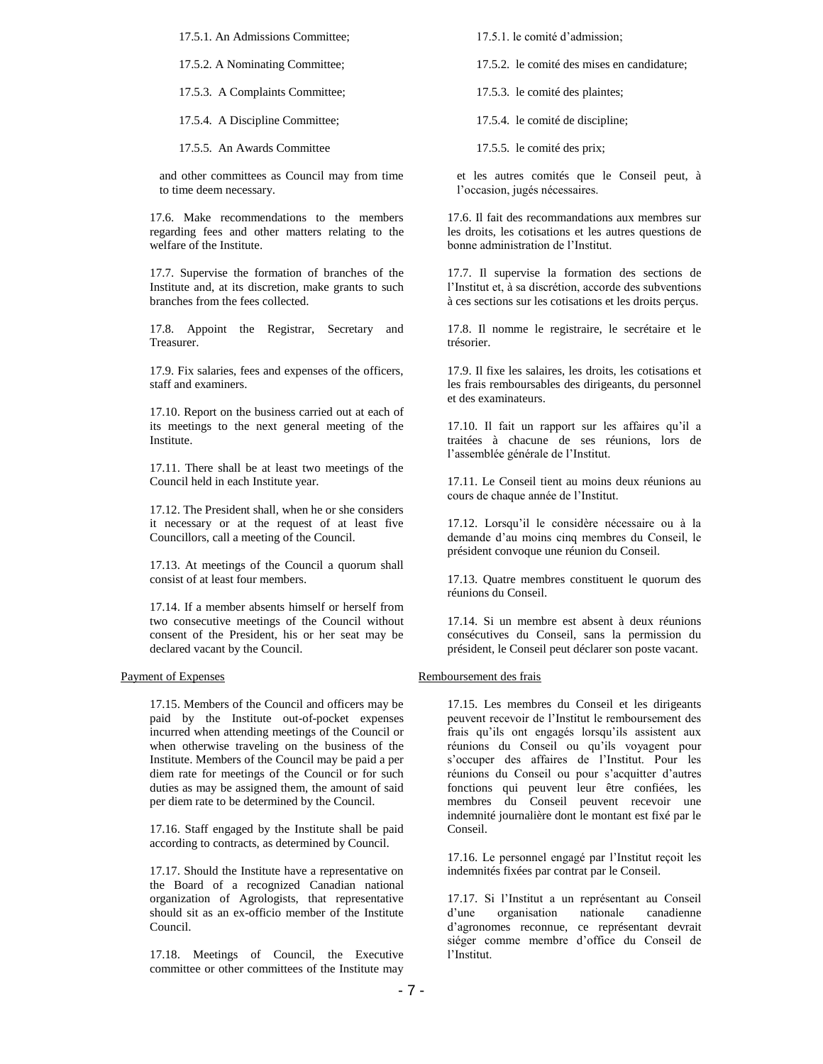17.5.1. An Admissions Committee;

17.5.2. A Nominating Committee;

17.5.3. A Complaints Committee;

17.5.4. A Discipline Committee;

17.5.5. An Awards Committee

and other committees as Council may from time to time deem necessary.

17.6. Make recommendations to the members regarding fees and other matters relating to the welfare of the Institute.

17.7. Supervise the formation of branches of the Institute and, at its discretion, make grants to such branches from the fees collected.

17.8. Appoint the Registrar, Secretary and Treasurer.

17.9. Fix salaries, fees and expenses of the officers, staff and examiners.

17.10. Report on the business carried out at each of its meetings to the next general meeting of the Institute.

17.11. There shall be at least two meetings of the Council held in each Institute year.

17.12. The President shall, when he or she considers it necessary or at the request of at least five Councillors, call a meeting of the Council.

17.13. At meetings of the Council a quorum shall consist of at least four members.

17.14. If a member absents himself or herself from two consecutive meetings of the Council without consent of the President, his or her seat may be declared vacant by the Council.

#### Payment of Expenses

17.15. Members of the Council and officers may be paid by the Institute out-of-pocket expenses incurred when attending meetings of the Council or when otherwise traveling on the business of the Institute. Members of the Council may be paid a per diem rate for meetings of the Council or for such duties as may be assigned them, the amount of said per diem rate to be determined by the Council.

17.16. Staff engaged by the Institute shall be paid according to contracts, as determined by Council.

17.17. Should the Institute have a representative on the Board of a recognized Canadian national organization of Agrologists, that representative should sit as an ex-officio member of the Institute Council.

17.18. Meetings of Council, the Executive committee or other committees of the Institute may

17.5.1. le comité d'admission;

17.5.2. le comité des mises en candidature;

17.5.3. le comité des plaintes;

17.5.4. le comité de discipline;

17.5.5. le comité des prix;

et les autres comités que le Conseil peut, à l'occasion, jugés nécessaires.

17.6. Il fait des recommandations aux membres sur les droits, les cotisations et les autres questions de bonne administration de l'Institut.

17.7. Il supervise la formation des sections de l'Institut et, à sa discrétion, accorde des subventions à ces sections sur les cotisations et les droits perçus.

17.8. Il nomme le registraire, le secrétaire et le trésorier.

17.9. Il fixe les salaires, les droits, les cotisations et les frais remboursables des dirigeants, du personnel et des examinateurs.

17.10. Il fait un rapport sur les affaires qu'il a traitées à chacune de ses réunions, lors de l'assemblée générale de l'Institut.

17.11. Le Conseil tient au moins deux réunions au cours de chaque année de l'Institut.

17.12. Lorsqu'il le considère nécessaire ou à la demande d'au moins cinq membres du Conseil, le président convoque une réunion du Conseil.

17.13. Quatre membres constituent le quorum des réunions du Conseil.

17.14. Si un membre est absent à deux réunions consécutives du Conseil, sans la permission du président, le Conseil peut déclarer son poste vacant.

### Remboursement des frais

17.15. Les membres du Conseil et les dirigeants peuvent recevoir de l'Institut le remboursement des frais qu'ils ont engagés lorsqu'ils assistent aux réunions du Conseil ou qu'ils voyagent pour s'occuper des affaires de l'Institut. Pour les réunions du Conseil ou pour s'acquitter d'autres fonctions qui peuvent leur être confiées, les membres du Conseil peuvent recevoir une indemnité journalière dont le montant est fixé par le Conseil.

17.16. Le personnel engagé par l'Institut reçoit les indemnités fixées par contrat par le Conseil.

17.17. Si l'Institut a un représentant au Conseil d'une organisation nationale canadienne d'agronomes reconnue, ce représentant devrait siéger comme membre d'office du Conseil de l'Institut.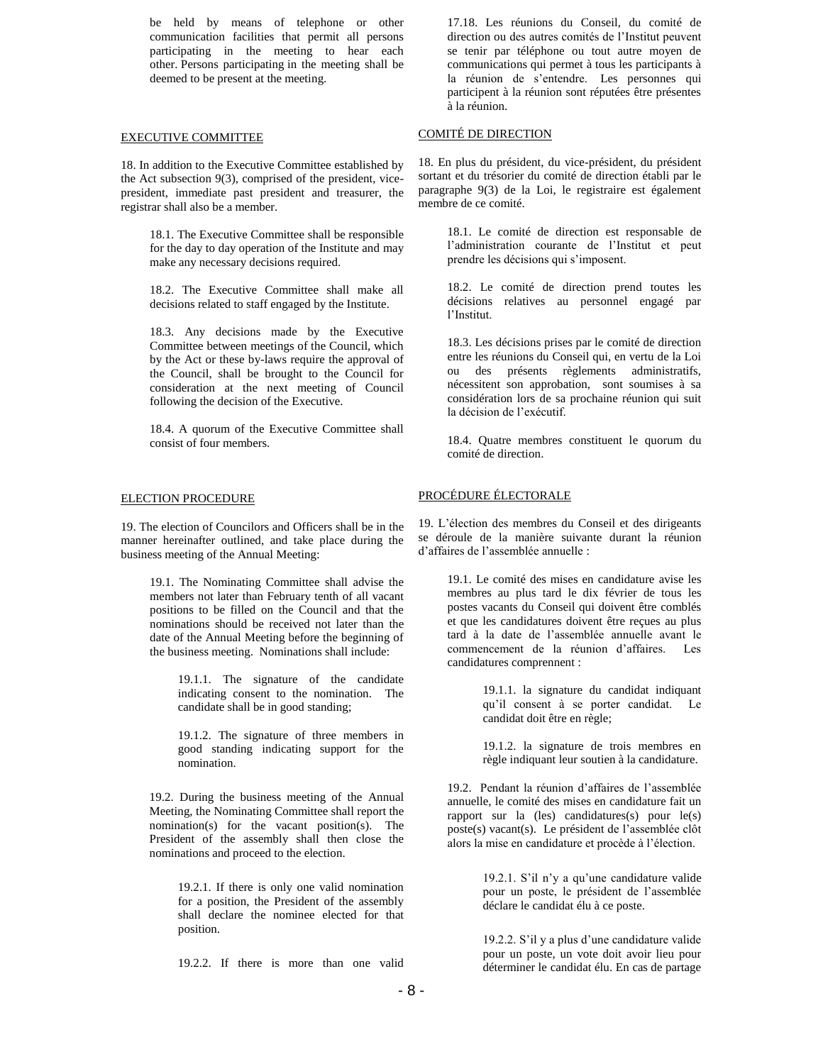be held by means of telephone or other communication facilities that permit all persons participating in the meeting to hear each other. Persons participating in the meeting shall be deemed to be present at the meeting.

### EXECUTIVE COMMITTEE

18. In addition to the Executive Committee established by the Act subsection 9(3), comprised of the president, vicepresident, immediate past president and treasurer, the registrar shall also be a member.

18.1. The Executive Committee shall be responsible for the day to day operation of the Institute and may make any necessary decisions required.

18.2. The Executive Committee shall make all decisions related to staff engaged by the Institute.

18.3. Any decisions made by the Executive Committee between meetings of the Council, which by the Act or these by-laws require the approval of the Council, shall be brought to the Council for consideration at the next meeting of Council following the decision of the Executive.

18.4. A quorum of the Executive Committee shall consist of four members.

# ELECTION PROCEDURE

19. The election of Councilors and Officers shall be in the manner hereinafter outlined, and take place during the business meeting of the Annual Meeting:

19.1. The Nominating Committee shall advise the members not later than February tenth of all vacant positions to be filled on the Council and that the nominations should be received not later than the date of the Annual Meeting before the beginning of the business meeting. Nominations shall include:

> 19.1.1. The signature of the candidate indicating consent to the nomination. The candidate shall be in good standing;

> 19.1.2. The signature of three members in good standing indicating support for the nomination.

19.2. During the business meeting of the Annual Meeting, the Nominating Committee shall report the nomination(s) for the vacant position(s). The President of the assembly shall then close the nominations and proceed to the election.

> 19.2.1. If there is only one valid nomination for a position, the President of the assembly shall declare the nominee elected for that position.

> 19.2.2. If there is more than one valid

17.18. Les réunions du Conseil, du comité de direction ou des autres comités de l'Institut peuvent se tenir par téléphone ou tout autre moyen de communications qui permet à tous les participants à la réunion de s'entendre. Les personnes qui participent à la réunion sont réputées être présentes à la réunion.

# COMITÉ DE DIRECTION

18. En plus du président, du vice-président, du président sortant et du trésorier du comité de direction établi par le paragraphe 9(3) de la Loi, le registraire est également membre de ce comité.

> 18.1. Le comité de direction est responsable de l'administration courante de l'Institut et peut prendre les décisions qui s'imposent.

> 18.2. Le comité de direction prend toutes les décisions relatives au personnel engagé par l'Institut.

> 18.3. Les décisions prises par le comité de direction entre les réunions du Conseil qui, en vertu de la Loi ou des présents règlements administratifs, nécessitent son approbation, sont soumises à sa considération lors de sa prochaine réunion qui suit la décision de l'exécutif.

> 18.4. Quatre membres constituent le quorum du comité de direction.

# PROCÉDURE ÉLECTORALE

19. L'élection des membres du Conseil et des dirigeants se déroule de la manière suivante durant la réunion d'affaires de l'assemblée annuelle :

> 19.1. Le comité des mises en candidature avise les membres au plus tard le dix février de tous les postes vacants du Conseil qui doivent être comblés et que les candidatures doivent être reçues au plus tard à la date de l'assemblée annuelle avant le commencement de la réunion d'affaires. Les candidatures comprennent :

> > 19.1.1. la signature du candidat indiquant qu'il consent à se porter candidat. Le candidat doit être en règle;

> > 19.1.2. la signature de trois membres en règle indiquant leur soutien à la candidature.

19.2. Pendant la réunion d'affaires de l'assemblée annuelle, le comité des mises en candidature fait un rapport sur la (les) candidatures(s) pour le(s) poste(s) vacant(s). Le président de l'assemblée clôt alors la mise en candidature et procède à l'élection.

> 19.2.1. S'il n'y a qu'une candidature valide pour un poste, le président de l'assemblée déclare le candidat élu à ce poste.

> 19.2.2. S'il y a plus d'une candidature valide pour un poste, un vote doit avoir lieu pour déterminer le candidat élu. En cas de partage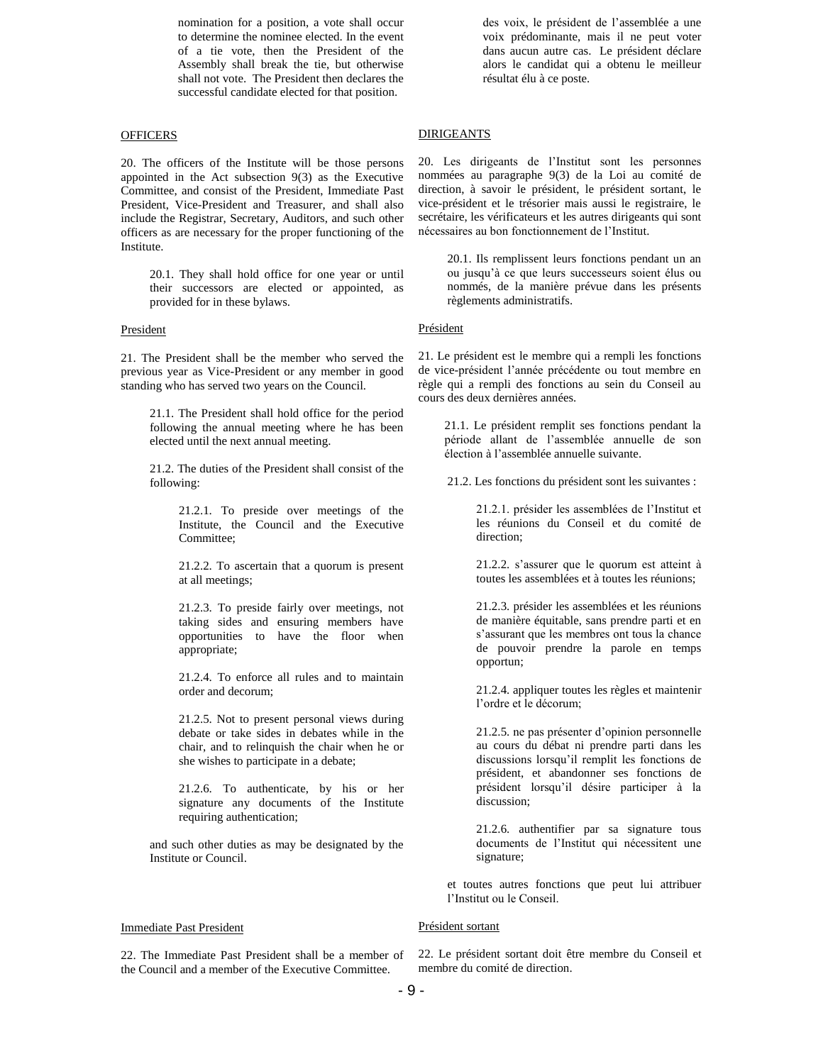nomination for a position, a vote shall occur to determine the nominee elected. In the event of a tie vote, then the President of the Assembly shall break the tie, but otherwise shall not vote. The President then declares the successful candidate elected for that position.

# **OFFICERS**

20. The officers of the Institute will be those persons appointed in the Act subsection 9(3) as the Executive Committee, and consist of the President, Immediate Past President, Vice-President and Treasurer, and shall also include the Registrar, Secretary, Auditors, and such other officers as are necessary for the proper functioning of the Institute.

20.1. They shall hold office for one year or until their successors are elected or appointed, as provided for in these bylaws.

### President

21. The President shall be the member who served the previous year as Vice-President or any member in good standing who has served two years on the Council.

21.1. The President shall hold office for the period following the annual meeting where he has been elected until the next annual meeting.

21.2. The duties of the President shall consist of the following:

> 21.2.1. To preside over meetings of the Institute, the Council and the Executive Committee;

> 21.2.2. To ascertain that a quorum is present at all meetings;

> 21.2.3. To preside fairly over meetings, not taking sides and ensuring members have opportunities to have the floor when appropriate;

> 21.2.4. To enforce all rules and to maintain order and decorum;

> 21.2.5. Not to present personal views during debate or take sides in debates while in the chair, and to relinquish the chair when he or she wishes to participate in a debate;

> 21.2.6. To authenticate, by his or her signature any documents of the Institute requiring authentication;

and such other duties as may be designated by the Institute or Council.

### Immediate Past President

22. The Immediate Past President shall be a member of the Council and a member of the Executive Committee.

des voix, le président de l'assemblée a une voix prédominante, mais il ne peut voter dans aucun autre cas. Le président déclare alors le candidat qui a obtenu le meilleur résultat élu à ce poste.

# **DIRIGEANTS**

20. Les dirigeants de l'Institut sont les personnes nommées au paragraphe 9(3) de la Loi au comité de direction, à savoir le président, le président sortant, le vice-président et le trésorier mais aussi le registraire, le secrétaire, les vérificateurs et les autres dirigeants qui sont nécessaires au bon fonctionnement de l'Institut.

20.1. Ils remplissent leurs fonctions pendant un an ou jusqu'à ce que leurs successeurs soient élus ou nommés, de la manière prévue dans les présents règlements administratifs.

### Président

21. Le président est le membre qui a rempli les fonctions de vice-président l'année précédente ou tout membre en règle qui a rempli des fonctions au sein du Conseil au cours des deux dernières années.

21.1. Le président remplit ses fonctions pendant la période allant de l'assemblée annuelle de son élection à l'assemblée annuelle suivante.

21.2. Les fonctions du président sont les suivantes :

21.2.1. présider les assemblées de l'Institut et les réunions du Conseil et du comité de direction;

21.2.2. s'assurer que le quorum est atteint à toutes les assemblées et à toutes les réunions;

21.2.3. présider les assemblées et les réunions de manière équitable, sans prendre parti et en s'assurant que les membres ont tous la chance de pouvoir prendre la parole en temps opportun;

21.2.4. appliquer toutes les règles et maintenir l'ordre et le décorum;

21.2.5. ne pas présenter d'opinion personnelle au cours du débat ni prendre parti dans les discussions lorsqu'il remplit les fonctions de président, et abandonner ses fonctions de président lorsqu'il désire participer à la discussion;

21.2.6. authentifier par sa signature tous documents de l'Institut qui nécessitent une signature;

et toutes autres fonctions que peut lui attribuer l'Institut ou le Conseil.

### Président sortant

22. Le président sortant doit être membre du Conseil et membre du comité de direction.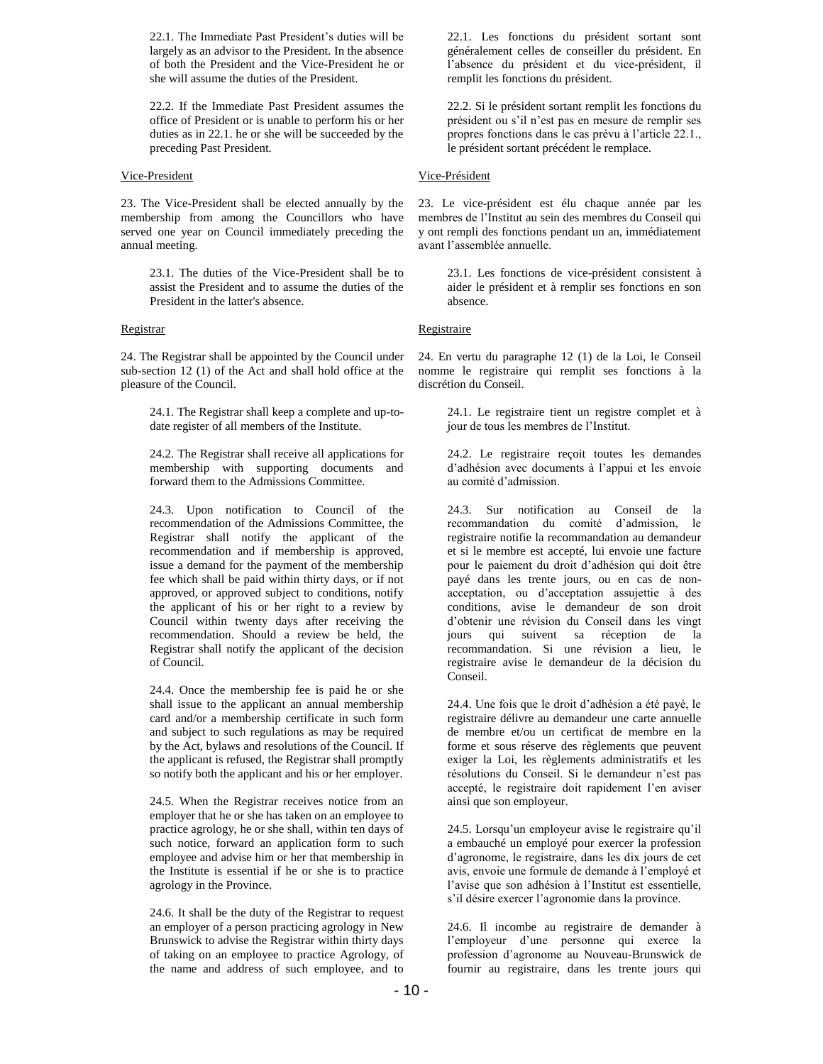22.1. The Immediate Past President's duties will be largely as an advisor to the President. In the absence of both the President and the Vice-President he or she will assume the duties of the President.

22.2. If the Immediate Past President assumes the office of President or is unable to perform his or her duties as in 22.1. he or she will be succeeded by the preceding Past President.

### Vice-President

23. The Vice-President shall be elected annually by the membership from among the Councillors who have served one year on Council immediately preceding the annual meeting.

23.1. The duties of the Vice-President shall be to assist the President and to assume the duties of the President in the latter's absence.

# Registrar

24. The Registrar shall be appointed by the Council under sub-section 12 (1) of the Act and shall hold office at the pleasure of the Council.

> 24.1. The Registrar shall keep a complete and up-todate register of all members of the Institute.

24.2. The Registrar shall receive all applications for membership with supporting documents and forward them to the Admissions Committee.

24.3. Upon notification to Council of the recommendation of the Admissions Committee, the Registrar shall notify the applicant of the recommendation and if membership is approved, issue a demand for the payment of the membership fee which shall be paid within thirty days, or if not approved, or approved subject to conditions, notify the applicant of his or her right to a review by Council within twenty days after receiving the recommendation. Should a review be held, the Registrar shall notify the applicant of the decision of Council.

24.4. Once the membership fee is paid he or she shall issue to the applicant an annual membership card and/or a membership certificate in such form and subject to such regulations as may be required by the Act, bylaws and resolutions of the Council. If the applicant is refused, the Registrar shall promptly so notify both the applicant and his or her employer.

24.5. When the Registrar receives notice from an employer that he or she has taken on an employee to practice agrology, he or she shall, within ten days of such notice, forward an application form to such employee and advise him or her that membership in the Institute is essential if he or she is to practice agrology in the Province.

24.6. It shall be the duty of the Registrar to request an employer of a person practicing agrology in New Brunswick to advise the Registrar within thirty days of taking on an employee to practice Agrology, of the name and address of such employee, and to

22.1. Les fonctions du président sortant sont généralement celles de conseiller du président. En l'absence du président et du vice-président, il remplit les fonctions du président.

22.2. Si le président sortant remplit les fonctions du président ou s'il n'est pas en mesure de remplir ses propres fonctions dans le cas prévu à l'article 22.1., le président sortant précédent le remplace.

# Vice-Président

23. Le vice-président est élu chaque année par les membres de l'Institut au sein des membres du Conseil qui y ont rempli des fonctions pendant un an, immédiatement avant l'assemblée annuelle.

23.1. Les fonctions de vice-président consistent à aider le président et à remplir ses fonctions en son absence.

# Registraire

24. En vertu du paragraphe 12 (1) de la Loi, le Conseil nomme le registraire qui remplit ses fonctions à la discrétion du Conseil.

> 24.1. Le registraire tient un registre complet et à jour de tous les membres de l'Institut.

> 24.2. Le registraire reçoit toutes les demandes d'adhésion avec documents à l'appui et les envoie au comité d'admission.

24.3. Sur notification au Conseil de la recommandation du comité d'admission, le registraire notifie la recommandation au demandeur et si le membre est accepté, lui envoie une facture pour le paiement du droit d'adhésion qui doit être payé dans les trente jours, ou en cas de nonacceptation, ou d'acceptation assujettie à des conditions, avise le demandeur de son droit d'obtenir une révision du Conseil dans les vingt jours qui suivent sa réception de la recommandation. Si une révision a lieu, le registraire avise le demandeur de la décision du Conseil.

24.4. Une fois que le droit d'adhésion a été payé, le registraire délivre au demandeur une carte annuelle de membre et/ou un certificat de membre en la forme et sous réserve des règlements que peuvent exiger la Loi, les règlements administratifs et les résolutions du Conseil. Si le demandeur n'est pas accepté, le registraire doit rapidement l'en aviser ainsi que son employeur.

24.5. Lorsqu'un employeur avise le registraire qu'il a embauché un employé pour exercer la profession d'agronome, le registraire, dans les dix jours de cet avis, envoie une formule de demande à l'employé et l'avise que son adhésion à l'Institut est essentielle, s'il désire exercer l'agronomie dans la province.

24.6. Il incombe au registraire de demander à l'employeur d'une personne qui exerce la profession d'agronome au Nouveau-Brunswick de fournir au registraire, dans les trente jours qui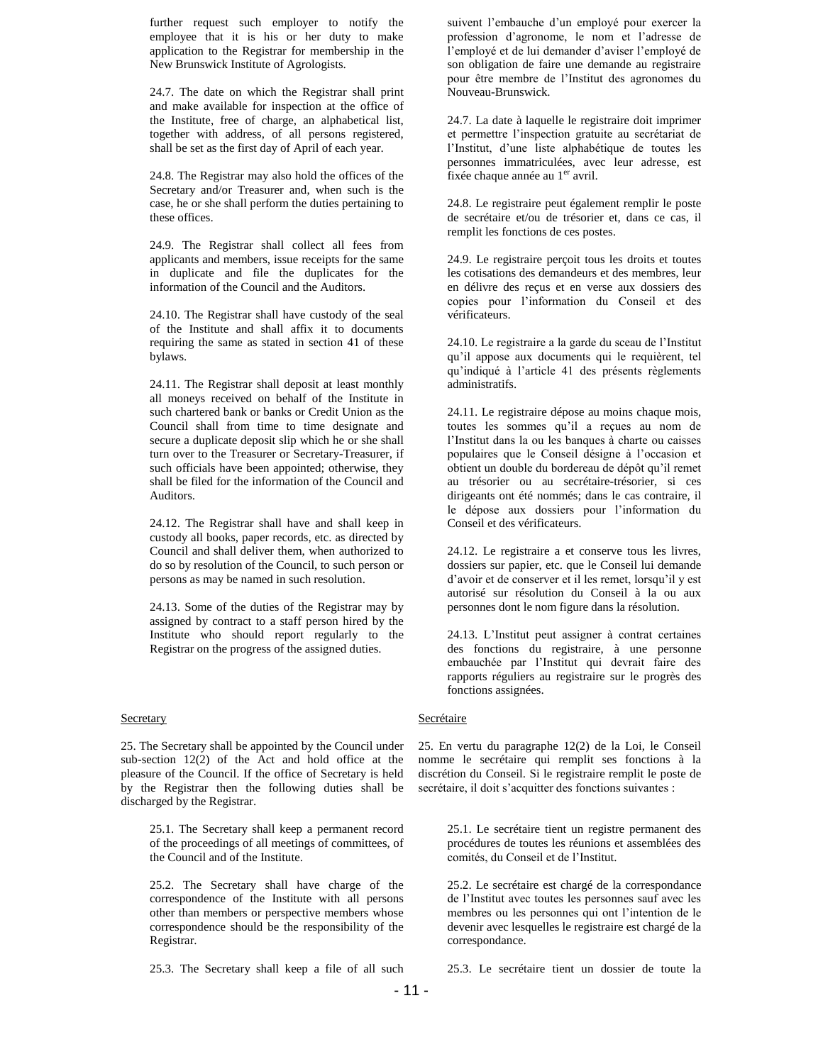further request such employer to notify the employee that it is his or her duty to make application to the Registrar for membership in the New Brunswick Institute of Agrologists.

24.7. The date on which the Registrar shall print and make available for inspection at the office of the Institute, free of charge, an alphabetical list, together with address, of all persons registered, shall be set as the first day of April of each year.

24.8. The Registrar may also hold the offices of the Secretary and/or Treasurer and, when such is the case, he or she shall perform the duties pertaining to these offices.

24.9. The Registrar shall collect all fees from applicants and members, issue receipts for the same in duplicate and file the duplicates for the information of the Council and the Auditors.

24.10. The Registrar shall have custody of the seal of the Institute and shall affix it to documents requiring the same as stated in section 41 of these bylaws.

24.11. The Registrar shall deposit at least monthly all moneys received on behalf of the Institute in such chartered bank or banks or Credit Union as the Council shall from time to time designate and secure a duplicate deposit slip which he or she shall turn over to the Treasurer or Secretary-Treasurer, if such officials have been appointed; otherwise, they shall be filed for the information of the Council and Auditors.

24.12. The Registrar shall have and shall keep in custody all books, paper records, etc. as directed by Council and shall deliver them, when authorized to do so by resolution of the Council, to such person or persons as may be named in such resolution.

24.13. Some of the duties of the Registrar may by assigned by contract to a staff person hired by the Institute who should report regularly to the Registrar on the progress of the assigned duties.

### **Secretary**

25. The Secretary shall be appointed by the Council under sub-section 12(2) of the Act and hold office at the pleasure of the Council. If the office of Secretary is held by the Registrar then the following duties shall be discharged by the Registrar.

25.1. The Secretary shall keep a permanent record of the proceedings of all meetings of committees, of the Council and of the Institute.

25.2. The Secretary shall have charge of the correspondence of the Institute with all persons other than members or perspective members whose correspondence should be the responsibility of the Registrar.

25.3. The Secretary shall keep a file of all such

suivent l'embauche d'un employé pour exercer la profession d'agronome, le nom et l'adresse de l'employé et de lui demander d'aviser l'employé de son obligation de faire une demande au registraire pour être membre de l'Institut des agronomes du Nouveau-Brunswick.

24.7. La date à laquelle le registraire doit imprimer et permettre l'inspection gratuite au secrétariat de l'Institut, d'une liste alphabétique de toutes les personnes immatriculées, avec leur adresse, est fixée chaque année au  $1<sup>er</sup>$  avril.

24.8. Le registraire peut également remplir le poste de secrétaire et/ou de trésorier et, dans ce cas, il remplit les fonctions de ces postes.

24.9. Le registraire perçoit tous les droits et toutes les cotisations des demandeurs et des membres, leur en délivre des reçus et en verse aux dossiers des copies pour l'information du Conseil et des vérificateurs.

24.10. Le registraire a la garde du sceau de l'Institut qu'il appose aux documents qui le requièrent, tel qu'indiqué à l'article 41 des présents règlements administratifs.

24.11. Le registraire dépose au moins chaque mois, toutes les sommes qu'il a reçues au nom de l'Institut dans la ou les banques à charte ou caisses populaires que le Conseil désigne à l'occasion et obtient un double du bordereau de dépôt qu'il remet au trésorier ou au secrétaire-trésorier, si ces dirigeants ont été nommés; dans le cas contraire, il le dépose aux dossiers pour l'information du Conseil et des vérificateurs.

24.12. Le registraire a et conserve tous les livres, dossiers sur papier, etc. que le Conseil lui demande d'avoir et de conserver et il les remet, lorsqu'il y est autorisé sur résolution du Conseil à la ou aux personnes dont le nom figure dans la résolution.

24.13. L'Institut peut assigner à contrat certaines des fonctions du registraire, à une personne embauchée par l'Institut qui devrait faire des rapports réguliers au registraire sur le progrès des fonctions assignées.

### Secrétaire

25. En vertu du paragraphe 12(2) de la Loi, le Conseil nomme le secrétaire qui remplit ses fonctions à la discrétion du Conseil. Si le registraire remplit le poste de secrétaire, il doit s'acquitter des fonctions suivantes :

25.1. Le secrétaire tient un registre permanent des procédures de toutes les réunions et assemblées des comités, du Conseil et de l'Institut.

25.2. Le secrétaire est chargé de la correspondance de l'Institut avec toutes les personnes sauf avec les membres ou les personnes qui ont l'intention de le devenir avec lesquelles le registraire est chargé de la correspondance.

25.3. Le secrétaire tient un dossier de toute la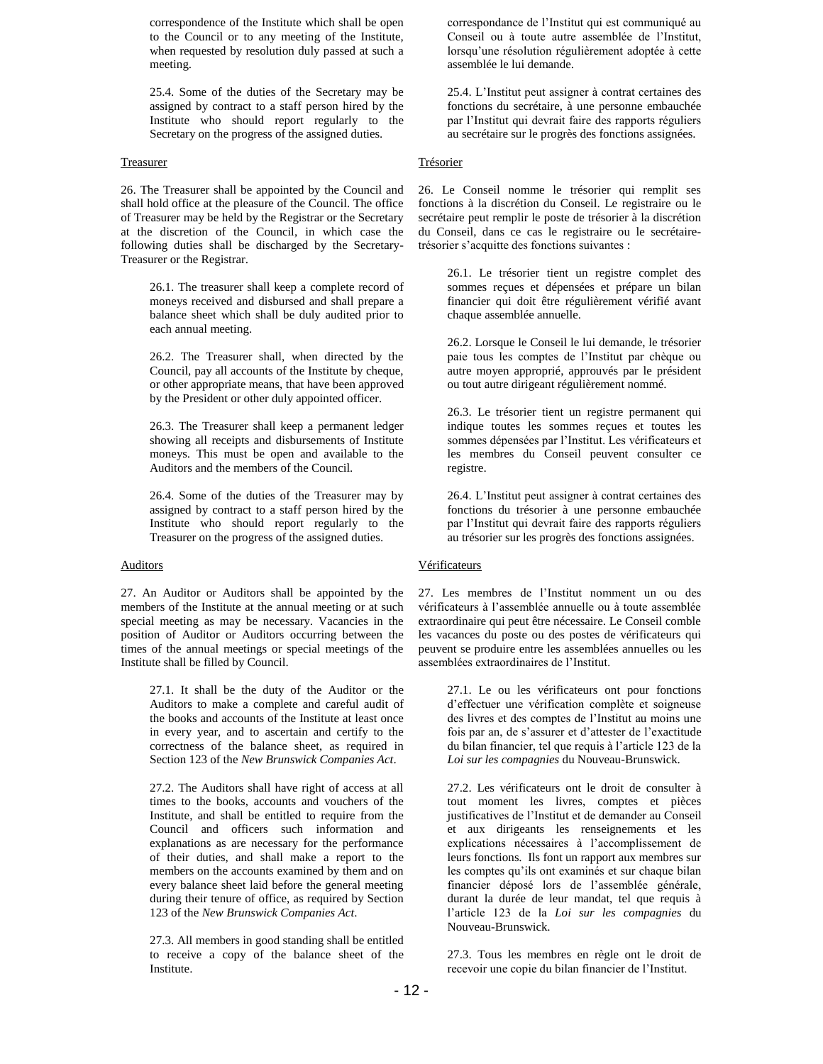correspondence of the Institute which shall be open to the Council or to any meeting of the Institute, when requested by resolution duly passed at such a meeting.

25.4. Some of the duties of the Secretary may be assigned by contract to a staff person hired by the Institute who should report regularly to the Secretary on the progress of the assigned duties.

## **Treasurer**

26. The Treasurer shall be appointed by the Council and shall hold office at the pleasure of the Council. The office of Treasurer may be held by the Registrar or the Secretary at the discretion of the Council, in which case the following duties shall be discharged by the Secretary-Treasurer or the Registrar.

26.1. The treasurer shall keep a complete record of moneys received and disbursed and shall prepare a balance sheet which shall be duly audited prior to each annual meeting.

26.2. The Treasurer shall, when directed by the Council, pay all accounts of the Institute by cheque, or other appropriate means, that have been approved by the President or other duly appointed officer.

26.3. The Treasurer shall keep a permanent ledger showing all receipts and disbursements of Institute moneys. This must be open and available to the Auditors and the members of the Council.

26.4. Some of the duties of the Treasurer may by assigned by contract to a staff person hired by the Institute who should report regularly to the Treasurer on the progress of the assigned duties.

### **Auditors**

27. An Auditor or Auditors shall be appointed by the members of the Institute at the annual meeting or at such special meeting as may be necessary. Vacancies in the position of Auditor or Auditors occurring between the times of the annual meetings or special meetings of the Institute shall be filled by Council.

> 27.1. It shall be the duty of the Auditor or the Auditors to make a complete and careful audit of the books and accounts of the Institute at least once in every year, and to ascertain and certify to the correctness of the balance sheet, as required in Section 123 of the *New Brunswick Companies Act*.

> 27.2. The Auditors shall have right of access at all times to the books, accounts and vouchers of the Institute, and shall be entitled to require from the Council and officers such information and explanations as are necessary for the performance of their duties, and shall make a report to the members on the accounts examined by them and on every balance sheet laid before the general meeting during their tenure of office, as required by Section 123 of the *New Brunswick Companies Act*.

> 27.3. All members in good standing shall be entitled to receive a copy of the balance sheet of the Institute.

correspondance de l'Institut qui est communiqué au Conseil ou à toute autre assemblée de l'Institut, lorsqu'une résolution régulièrement adoptée à cette assemblée le lui demande.

25.4. L'Institut peut assigner à contrat certaines des fonctions du secrétaire, à une personne embauchée par l'Institut qui devrait faire des rapports réguliers au secrétaire sur le progrès des fonctions assignées.

# **Trésorier**

26. Le Conseil nomme le trésorier qui remplit ses fonctions à la discrétion du Conseil. Le registraire ou le secrétaire peut remplir le poste de trésorier à la discrétion du Conseil, dans ce cas le registraire ou le secrétairetrésorier s'acquitte des fonctions suivantes :

> 26.1. Le trésorier tient un registre complet des sommes reçues et dépensées et prépare un bilan financier qui doit être régulièrement vérifié avant chaque assemblée annuelle.

> 26.2. Lorsque le Conseil le lui demande, le trésorier paie tous les comptes de l'Institut par chèque ou autre moyen approprié, approuvés par le président ou tout autre dirigeant régulièrement nommé.

> 26.3. Le trésorier tient un registre permanent qui indique toutes les sommes reçues et toutes les sommes dépensées par l'Institut. Les vérificateurs et les membres du Conseil peuvent consulter ce registre.

> 26.4. L'Institut peut assigner à contrat certaines des fonctions du trésorier à une personne embauchée par l'Institut qui devrait faire des rapports réguliers au trésorier sur les progrès des fonctions assignées.

# **Vérificateurs**

27. Les membres de l'Institut nomment un ou des vérificateurs à l'assemblée annuelle ou à toute assemblée extraordinaire qui peut être nécessaire. Le Conseil comble les vacances du poste ou des postes de vérificateurs qui peuvent se produire entre les assemblées annuelles ou les assemblées extraordinaires de l'Institut.

> 27.1. Le ou les vérificateurs ont pour fonctions d'effectuer une vérification complète et soigneuse des livres et des comptes de l'Institut au moins une fois par an, de s'assurer et d'attester de l'exactitude du bilan financier, tel que requis à l'article 123 de la *Loi sur les compagnies* du Nouveau-Brunswick.

27.2. Les vérificateurs ont le droit de consulter à tout moment les livres, comptes et pièces justificatives de l'Institut et de demander au Conseil et aux dirigeants les renseignements et les explications nécessaires à l'accomplissement de leurs fonctions. Ils font un rapport aux membres sur les comptes qu'ils ont examinés et sur chaque bilan financier déposé lors de l'assemblée générale, durant la durée de leur mandat, tel que requis à l'article 123 de la *Loi sur les compagnies* du Nouveau-Brunswick.

27.3. Tous les membres en règle ont le droit de recevoir une copie du bilan financier de l'Institut.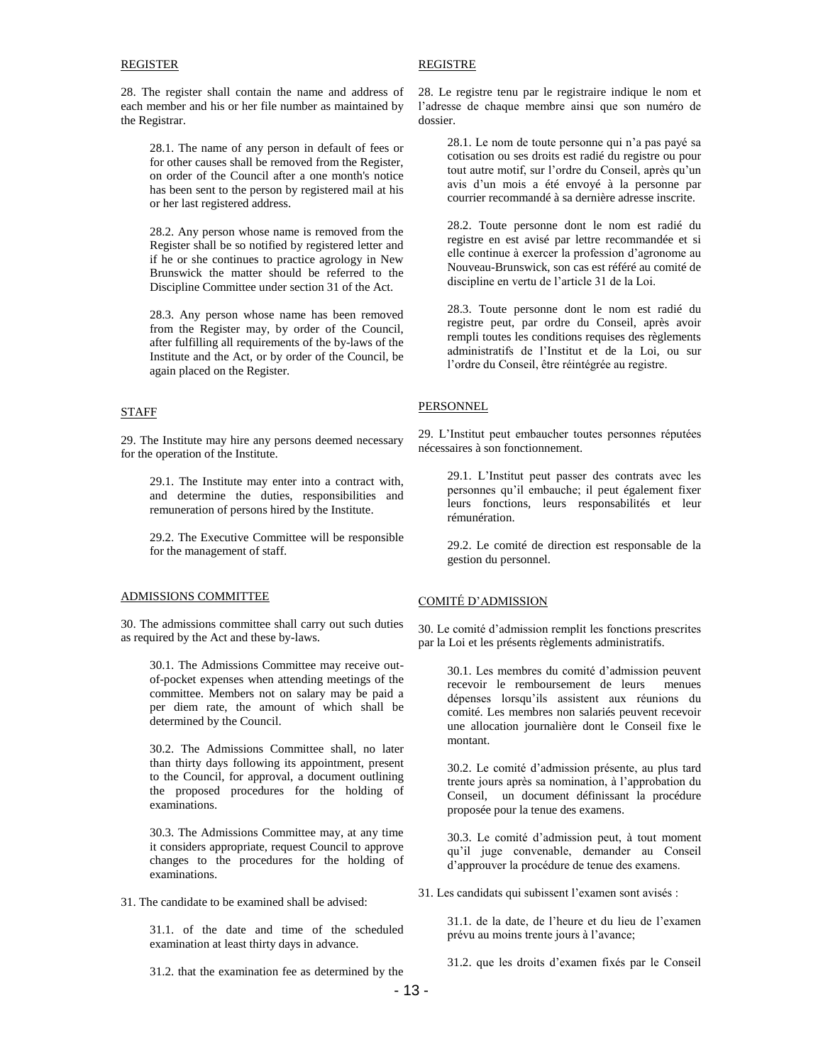## REGISTER

28. The register shall contain the name and address of each member and his or her file number as maintained by the Registrar.

28.1. The name of any person in default of fees or for other causes shall be removed from the Register, on order of the Council after a one month's notice has been sent to the person by registered mail at his or her last registered address.

28.2. Any person whose name is removed from the Register shall be so notified by registered letter and if he or she continues to practice agrology in New Brunswick the matter should be referred to the Discipline Committee under section 31 of the Act.

28.3. Any person whose name has been removed from the Register may, by order of the Council, after fulfilling all requirements of the by-laws of the Institute and the Act, or by order of the Council, be again placed on the Register.

# STAFF

29. The Institute may hire any persons deemed necessary for the operation of the Institute.

29.1. The Institute may enter into a contract with, and determine the duties, responsibilities and remuneration of persons hired by the Institute.

29.2. The Executive Committee will be responsible for the management of staff.

### ADMISSIONS COMMITTEE

30. The admissions committee shall carry out such duties as required by the Act and these by-laws.

30.1. The Admissions Committee may receive outof-pocket expenses when attending meetings of the committee. Members not on salary may be paid a per diem rate, the amount of which shall be determined by the Council.

30.2. The Admissions Committee shall, no later than thirty days following its appointment, present to the Council, for approval, a document outlining the proposed procedures for the holding of examinations.

30.3. The Admissions Committee may, at any time it considers appropriate, request Council to approve changes to the procedures for the holding of examinations.

31. The candidate to be examined shall be advised:

31.1. of the date and time of the scheduled examination at least thirty days in advance.

31.2. that the examination fee as determined by the

# REGISTRE

28. Le registre tenu par le registraire indique le nom et l'adresse de chaque membre ainsi que son numéro de dossier.

> 28.1. Le nom de toute personne qui n'a pas payé sa cotisation ou ses droits est radié du registre ou pour tout autre motif, sur l'ordre du Conseil, après qu'un avis d'un mois a été envoyé à la personne par courrier recommandé à sa dernière adresse inscrite.

> 28.2. Toute personne dont le nom est radié du registre en est avisé par lettre recommandée et si elle continue à exercer la profession d'agronome au Nouveau-Brunswick, son cas est référé au comité de discipline en vertu de l'article 31 de la Loi.

> 28.3. Toute personne dont le nom est radié du registre peut, par ordre du Conseil, après avoir rempli toutes les conditions requises des règlements administratifs de l'Institut et de la Loi, ou sur l'ordre du Conseil, être réintégrée au registre.

# **PERSONNEL**

29. L'Institut peut embaucher toutes personnes réputées nécessaires à son fonctionnement.

> 29.1. L'Institut peut passer des contrats avec les personnes qu'il embauche; il peut également fixer leurs fonctions, leurs responsabilités et leur rémunération.

> 29.2. Le comité de direction est responsable de la gestion du personnel.

# COMITÉ D'ADMISSION

30. Le comité d'admission remplit les fonctions prescrites par la Loi et les présents règlements administratifs.

> 30.1. Les membres du comité d'admission peuvent recevoir le remboursement de leurs menues dépenses lorsqu'ils assistent aux réunions du comité. Les membres non salariés peuvent recevoir une allocation journalière dont le Conseil fixe le montant.

> 30.2. Le comité d'admission présente, au plus tard trente jours après sa nomination, à l'approbation du Conseil, un document définissant la procédure proposée pour la tenue des examens.

> 30.3. Le comité d'admission peut, à tout moment qu'il juge convenable, demander au Conseil d'approuver la procédure de tenue des examens.

31. Les candidats qui subissent l'examen sont avisés :

31.1. de la date, de l'heure et du lieu de l'examen prévu au moins trente jours à l'avance;

31.2. que les droits d'examen fixés par le Conseil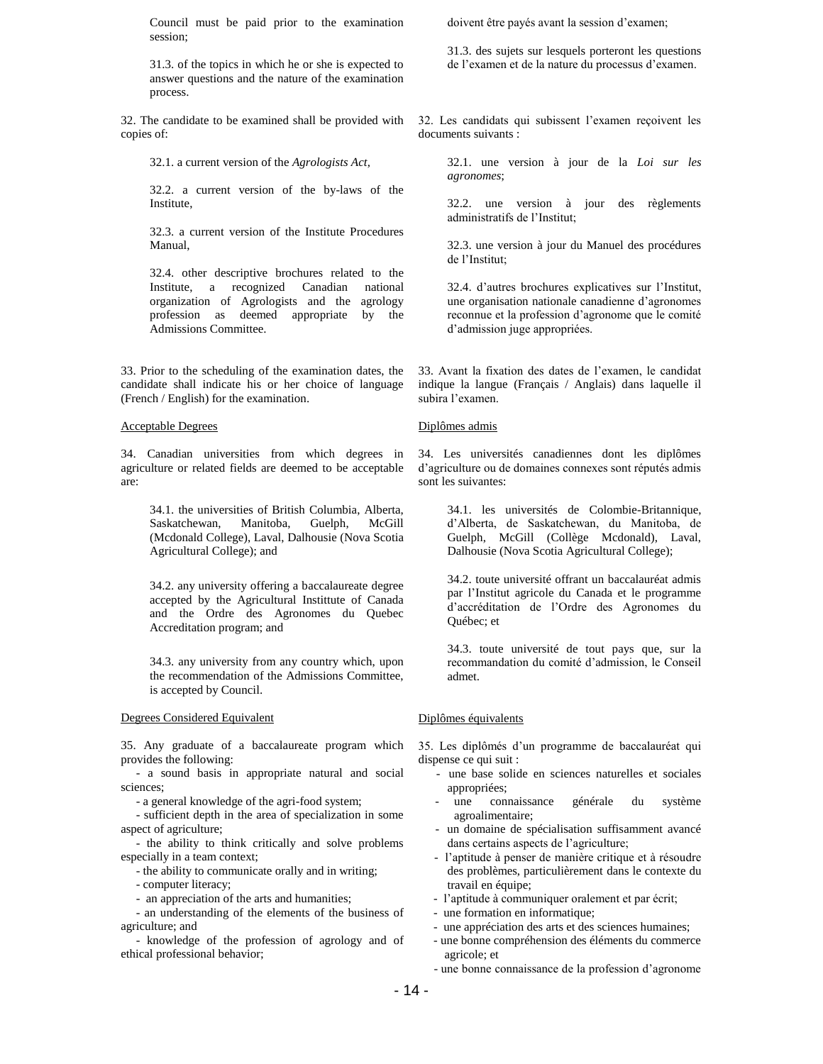Council must be paid prior to the examination session;

31.3. of the topics in which he or she is expected to answer questions and the nature of the examination process.

32. The candidate to be examined shall be provided with copies of:

32.1. a current version of the *Agrologists Act*,

32.2. a current version of the by-laws of the Institute,

32.3. a current version of the Institute Procedures Manual,

32.4. other descriptive brochures related to the Institute, a recognized Canadian national organization of Agrologists and the agrology profession as deemed appropriate by the Admissions Committee.

33. Prior to the scheduling of the examination dates, the candidate shall indicate his or her choice of language (French / English) for the examination.

### Acceptable Degrees

34. Canadian universities from which degrees in agriculture or related fields are deemed to be acceptable are:

34.1. the universities of British Columbia, Alberta, Saskatchewan, Manitoba, Guelph, McGill (Mcdonald College), Laval, Dalhousie (Nova Scotia Agricultural College); and

34.2. any university offering a baccalaureate degree accepted by the Agricultural Instittute of Canada and the Ordre des Agronomes du Quebec Accreditation program; and

34.3. any university from any country which, upon the recommendation of the Admissions Committee, is accepted by Council.

## Degrees Considered Equivalent

35. Any graduate of a baccalaureate program which provides the following:

 - a sound basis in appropriate natural and social sciences;

- a general knowledge of the agri-food system;

 - sufficient depth in the area of specialization in some aspect of agriculture;

 - the ability to think critically and solve problems especially in a team context;

- the ability to communicate orally and in writing;

- computer literacy;

- an appreciation of the arts and humanities;

 - an understanding of the elements of the business of agriculture; and

 - knowledge of the profession of agrology and of ethical professional behavior;

doivent être payés avant la session d'examen;

31.3. des sujets sur lesquels porteront les questions de l'examen et de la nature du processus d'examen.

32. Les candidats qui subissent l'examen reçoivent les documents suivants :

32.1. une version à jour de la *Loi sur les agronomes*;

32.2. une version à jour des règlements administratifs de l'Institut;

32.3. une version à jour du Manuel des procédures de l'Institut;

32.4. d'autres brochures explicatives sur l'Institut, une organisation nationale canadienne d'agronomes reconnue et la profession d'agronome que le comité d'admission juge appropriées.

33. Avant la fixation des dates de l'examen, le candidat indique la langue (Français / Anglais) dans laquelle il subira l'examen.

### Diplômes admis

34. Les universités canadiennes dont les diplômes d'agriculture ou de domaines connexes sont réputés admis sont les suivantes:

34.1. les universités de Colombie-Britannique, d'Alberta, de Saskatchewan, du Manitoba, de Guelph, McGill (Collège Mcdonald), Laval, Dalhousie (Nova Scotia Agricultural College);

34.2. toute université offrant un baccalauréat admis par l'Institut agricole du Canada et le programme d'accréditation de l'Ordre des Agronomes du Québec; et

34.3. toute université de tout pays que, sur la recommandation du comité d'admission, le Conseil admet.

### Diplômes équivalents

35. Les diplômés d'un programme de baccalauréat qui dispense ce qui suit :

- une base solide en sciences naturelles et sociales appropriées;
- une connaissance générale du système agroalimentaire;
- un domaine de spécialisation suffisamment avancé dans certains aspects de l'agriculture;
- l'aptitude à penser de manière critique et à résoudre des problèmes, particulièrement dans le contexte du travail en équipe;
- l'aptitude à communiquer oralement et par écrit;
- une formation en informatique;
- une appréciation des arts et des sciences humaines;
- une bonne compréhension des éléments du commerce agricole; et
- une bonne connaissance de la profession d'agronome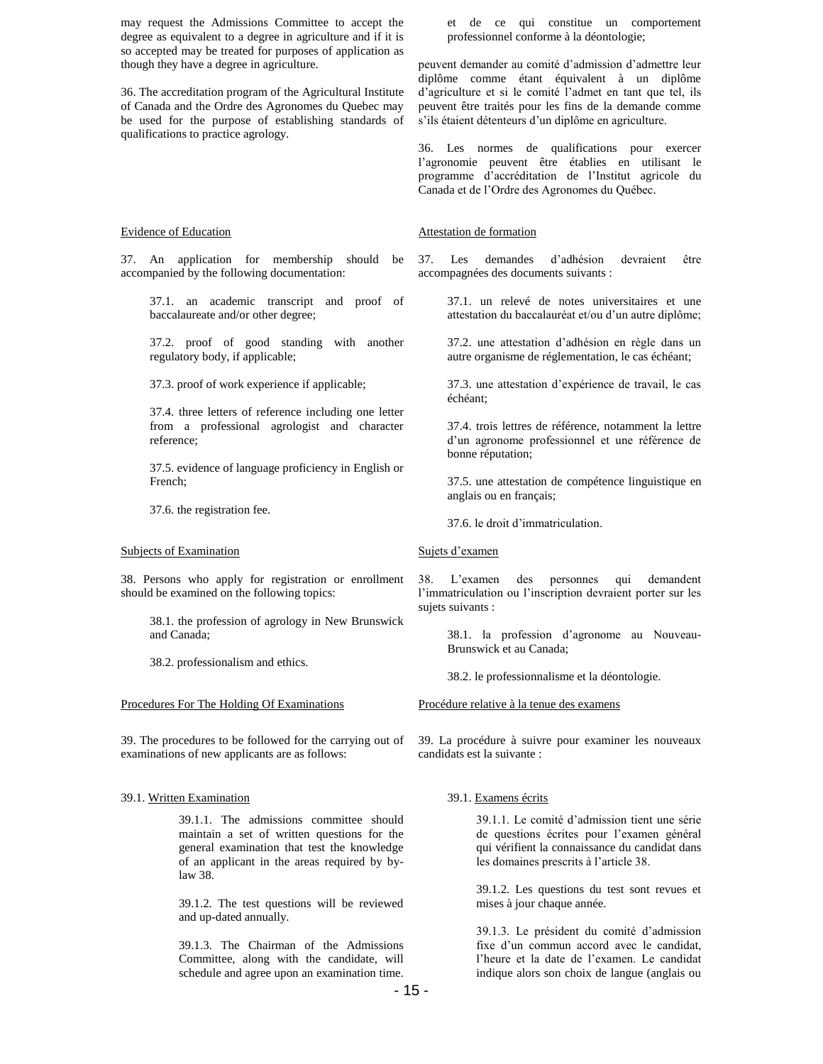may request the Admissions Committee to accept the degree as equivalent to a degree in agriculture and if it is so accepted may be treated for purposes of application as though they have a degree in agriculture.

36. The accreditation program of the Agricultural Institute of Canada and the Ordre des Agronomes du Quebec may be used for the purpose of establishing standards of qualifications to practice agrology.

#### Evidence of Education

37. An application for membership should be accompanied by the following documentation:

37.1. an academic transcript and proof of baccalaureate and/or other degree;

37.2. proof of good standing with another regulatory body, if applicable;

37.3. proof of work experience if applicable;

37.4. three letters of reference including one letter from a professional agrologist and character reference;

37.5. evidence of language proficiency in English or French;

37.6. the registration fee.

### Subjects of Examination

38. Persons who apply for registration or enrollment should be examined on the following topics:

> 38.1. the profession of agrology in New Brunswick and Canada;

38.2. professionalism and ethics.

### Procedures For The Holding Of Examinations

39. The procedures to be followed for the carrying out of examinations of new applicants are as follows:

### 39.1. Written Examination

39.1.1. The admissions committee should maintain a set of written questions for the general examination that test the knowledge of an applicant in the areas required by bylaw 38.

39.1.2. The test questions will be reviewed and up-dated annually.

39.1.3. The Chairman of the Admissions Committee, along with the candidate, will schedule and agree upon an examination time.

et de ce qui constitue un comportement professionnel conforme à la déontologie;

peuvent demander au comité d'admission d'admettre leur diplôme comme étant équivalent à un diplôme d'agriculture et si le comité l'admet en tant que tel, ils peuvent être traités pour les fins de la demande comme s'ils étaient détenteurs d'un diplôme en agriculture.

36. Les normes de qualifications pour exercer l'agronomie peuvent être établies en utilisant le programme d'accréditation de l'Institut agricole du Canada et de l'Ordre des Agronomes du Québec.

#### Attestation de formation

37. Les demandes d'adhésion devraient être accompagnées des documents suivants :

37.1. un relevé de notes universitaires et une attestation du baccalauréat et/ou d'un autre diplôme;

37.2. une attestation d'adhésion en règle dans un autre organisme de réglementation, le cas échéant;

37.3. une attestation d'expérience de travail, le cas échéant;

37.4. trois lettres de référence, notamment la lettre d'un agronome professionnel et une référence de bonne réputation;

37.5. une attestation de compétence linguistique en anglais ou en français;

37.6. le droit d'immatriculation.

### Sujets d'examen

38. L'examen des personnes qui demandent l'immatriculation ou l'inscription devraient porter sur les sujets suivants :

> 38.1. la profession d'agronome au Nouveau-Brunswick et au Canada;

38.2. le professionnalisme et la déontologie.

Procédure relative à la tenue des examens

39. La procédure à suivre pour examiner les nouveaux candidats est la suivante :

## 39.1. Examens écrits

39.1.1. Le comité d'admission tient une série de questions écrites pour l'examen général qui vérifient la connaissance du candidat dans les domaines prescrits à l'article 38.

39.1.2. Les questions du test sont revues et mises à jour chaque année.

39.1.3. Le président du comité d'admission fixe d'un commun accord avec le candidat, l'heure et la date de l'examen. Le candidat indique alors son choix de langue (anglais ou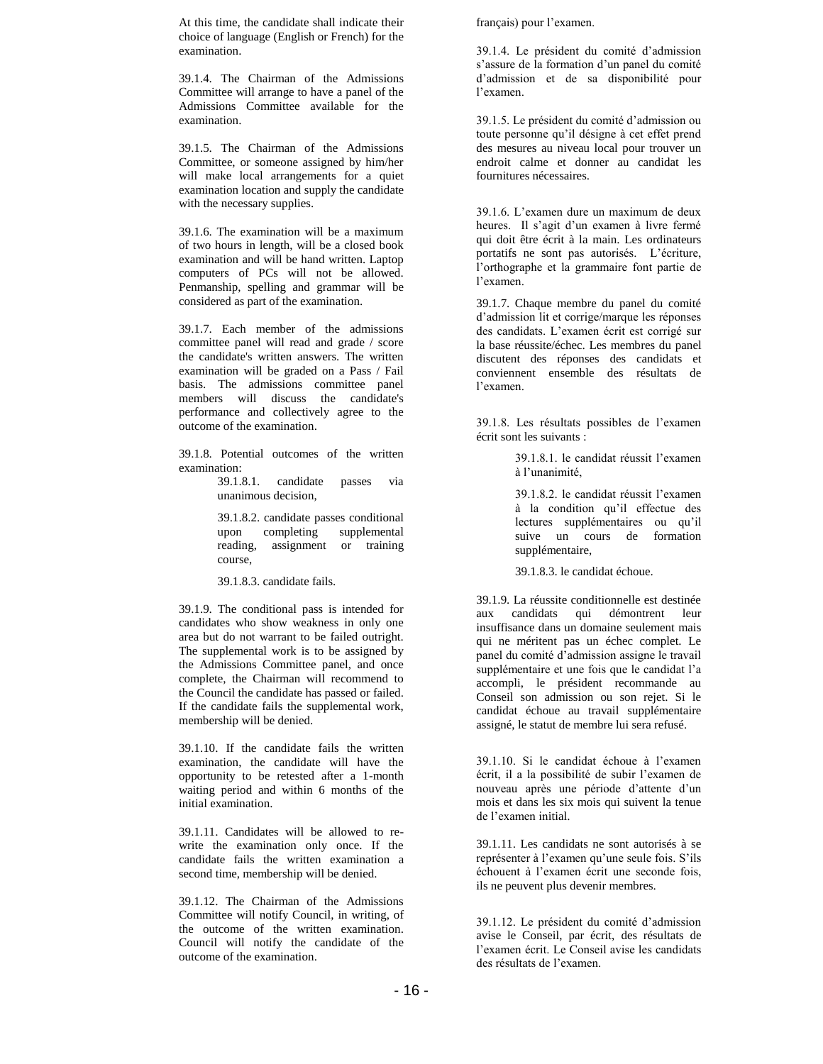At this time, the candidate shall indicate their choice of language (English or French) for the examination.

39.1.4. The Chairman of the Admissions Committee will arrange to have a panel of the Admissions Committee available for the examination.

39.1.5. The Chairman of the Admissions Committee, or someone assigned by him/her will make local arrangements for a quiet examination location and supply the candidate with the necessary supplies.

39.1.6. The examination will be a maximum of two hours in length, will be a closed book examination and will be hand written. Laptop computers of PCs will not be allowed. Penmanship, spelling and grammar will be considered as part of the examination.

39.1.7. Each member of the admissions committee panel will read and grade / score the candidate's written answers. The written examination will be graded on a Pass / Fail basis. The admissions committee panel members will discuss the candidate's performance and collectively agree to the outcome of the examination.

39.1.8. Potential outcomes of the written examination:

> 39.1.8.1. candidate passes via unanimous decision,

39.1.8.2. candidate passes conditional upon completing supplemental reading, assignment or training course,

39.1.8.3. candidate fails.

39.1.9. The conditional pass is intended for candidates who show weakness in only one area but do not warrant to be failed outright. The supplemental work is to be assigned by the Admissions Committee panel, and once complete, the Chairman will recommend to the Council the candidate has passed or failed. If the candidate fails the supplemental work, membership will be denied.

39.1.10. If the candidate fails the written examination, the candidate will have the opportunity to be retested after a 1-month waiting period and within 6 months of the initial examination.

39.1.11. Candidates will be allowed to rewrite the examination only once. If the candidate fails the written examination a second time, membership will be denied.

39.1.12. The Chairman of the Admissions Committee will notify Council, in writing, of the outcome of the written examination. Council will notify the candidate of the outcome of the examination.

français) pour l'examen.

39.1.4. Le président du comité d'admission s'assure de la formation d'un panel du comité d'admission et de sa disponibilité pour l'examen.

39.1.5. Le président du comité d'admission ou toute personne qu'il désigne à cet effet prend des mesures au niveau local pour trouver un endroit calme et donner au candidat les fournitures nécessaires.

39.1.6. L'examen dure un maximum de deux heures. Il s'agit d'un examen à livre fermé qui doit être écrit à la main. Les ordinateurs portatifs ne sont pas autorisés. L'écriture, l'orthographe et la grammaire font partie de l'examen.

39.1.7. Chaque membre du panel du comité d'admission lit et corrige/marque les réponses des candidats. L'examen écrit est corrigé sur la base réussite/échec. Les membres du panel discutent des réponses des candidats et conviennent ensemble des résultats de l'examen.

39.1.8. Les résultats possibles de l'examen écrit sont les suivants :

> 39.1.8.1. le candidat réussit l'examen à l'unanimité,

39.1.8.2. le candidat réussit l'examen à la condition qu'il effectue des lectures supplémentaires ou qu'il suive un cours de formation supplémentaire,

39.1.8.3. le candidat échoue.

39.1.9. La réussite conditionnelle est destinée aux candidats qui démontrent leur insuffisance dans un domaine seulement mais qui ne méritent pas un échec complet. Le panel du comité d'admission assigne le travail supplémentaire et une fois que le candidat l'a accompli, le président recommande au Conseil son admission ou son rejet. Si le candidat échoue au travail supplémentaire assigné, le statut de membre lui sera refusé.

39.1.10. Si le candidat échoue à l'examen écrit, il a la possibilité de subir l'examen de nouveau après une période d'attente d'un mois et dans les six mois qui suivent la tenue de l'examen initial.

39.1.11. Les candidats ne sont autorisés à se représenter à l'examen qu'une seule fois. S'ils échouent à l'examen écrit une seconde fois, ils ne peuvent plus devenir membres.

39.1.12. Le président du comité d'admission avise le Conseil, par écrit, des résultats de l'examen écrit. Le Conseil avise les candidats des résultats de l'examen.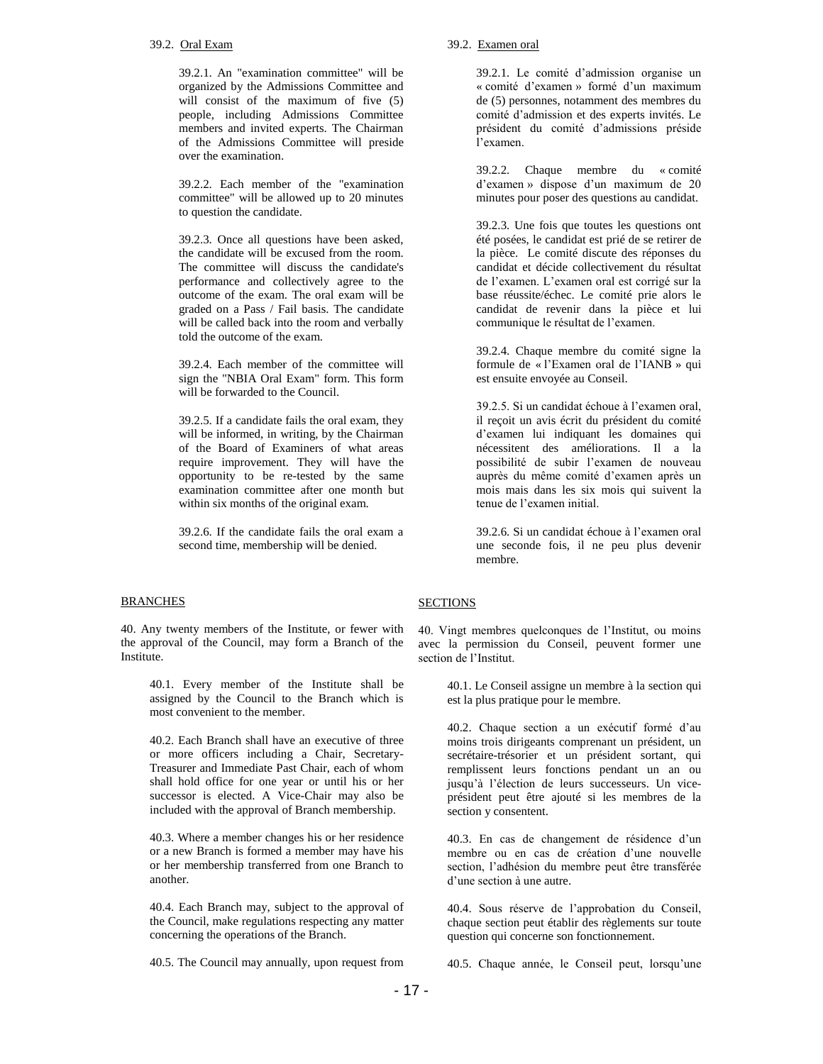### 39.2. Oral Exam

39.2.1. An "examination committee" will be organized by the Admissions Committee and will consist of the maximum of five (5) people, including Admissions Committee members and invited experts. The Chairman of the Admissions Committee will preside over the examination.

39.2.2. Each member of the "examination committee" will be allowed up to 20 minutes to question the candidate.

39.2.3. Once all questions have been asked, the candidate will be excused from the room. The committee will discuss the candidate's performance and collectively agree to the outcome of the exam. The oral exam will be graded on a Pass / Fail basis. The candidate will be called back into the room and verbally told the outcome of the exam.

39.2.4. Each member of the committee will sign the "NBIA Oral Exam" form. This form will be forwarded to the Council.

39.2.5. If a candidate fails the oral exam, they will be informed, in writing, by the Chairman of the Board of Examiners of what areas require improvement. They will have the opportunity to be re-tested by the same examination committee after one month but within six months of the original exam.

39.2.6. If the candidate fails the oral exam a second time, membership will be denied.

### **BRANCHES**

40. Any twenty members of the Institute, or fewer with the approval of the Council, may form a Branch of the Institute.

40.1. Every member of the Institute shall be assigned by the Council to the Branch which is most convenient to the member.

40.2. Each Branch shall have an executive of three or more officers including a Chair, Secretary-Treasurer and Immediate Past Chair, each of whom shall hold office for one year or until his or her successor is elected. A Vice-Chair may also be included with the approval of Branch membership.

40.3. Where a member changes his or her residence or a new Branch is formed a member may have his or her membership transferred from one Branch to another.

40.4. Each Branch may, subject to the approval of the Council, make regulations respecting any matter concerning the operations of the Branch.

40.5. The Council may annually, upon request from

### 39.2. Examen oral

39.2.1. Le comité d'admission organise un « comité d'examen » formé d'un maximum de (5) personnes, notamment des membres du comité d'admission et des experts invités. Le président du comité d'admissions préside l'examen.

39.2.2. Chaque membre du « comité d'examen » dispose d'un maximum de 20 minutes pour poser des questions au candidat.

39.2.3. Une fois que toutes les questions ont été posées, le candidat est prié de se retirer de la pièce. Le comité discute des réponses du candidat et décide collectivement du résultat de l'examen. L'examen oral est corrigé sur la base réussite/échec. Le comité prie alors le candidat de revenir dans la pièce et lui communique le résultat de l'examen.

39.2.4. Chaque membre du comité signe la formule de « l'Examen oral de l'IANB » qui est ensuite envoyée au Conseil.

39.2.5. Si un candidat échoue à l'examen oral, il reçoit un avis écrit du président du comité d'examen lui indiquant les domaines qui nécessitent des améliorations. Il a la possibilité de subir l'examen de nouveau auprès du même comité d'examen après un mois mais dans les six mois qui suivent la tenue de l'examen initial.

39.2.6. Si un candidat échoue à l'examen oral une seconde fois, il ne peu plus devenir membre.

# **SECTIONS**

40. Vingt membres quelconques de l'Institut, ou moins avec la permission du Conseil, peuvent former une section de l'Institut.

> 40.1. Le Conseil assigne un membre à la section qui est la plus pratique pour le membre.

> 40.2. Chaque section a un exécutif formé d'au moins trois dirigeants comprenant un président, un secrétaire-trésorier et un président sortant, qui remplissent leurs fonctions pendant un an ou jusqu'à l'élection de leurs successeurs. Un viceprésident peut être ajouté si les membres de la section y consentent.

> 40.3. En cas de changement de résidence d'un membre ou en cas de création d'une nouvelle section, l'adhésion du membre peut être transférée d'une section à une autre.

> 40.4. Sous réserve de l'approbation du Conseil, chaque section peut établir des règlements sur toute question qui concerne son fonctionnement.

> 40.5. Chaque année, le Conseil peut, lorsqu'une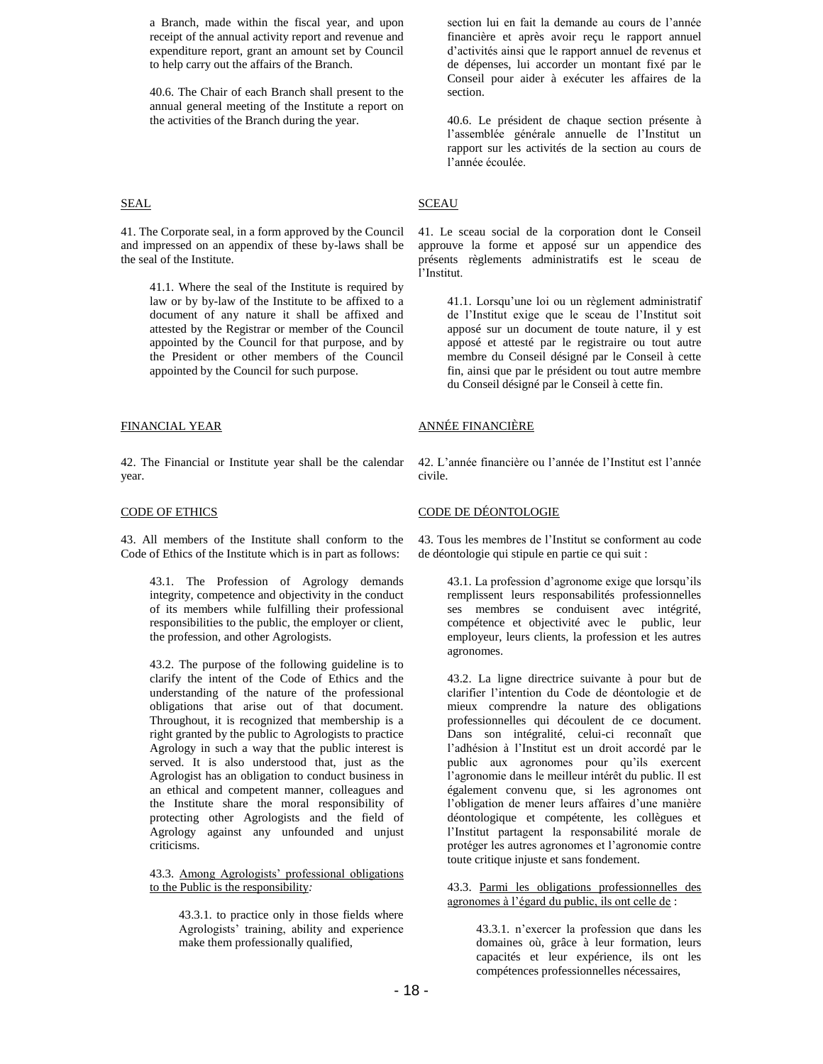a Branch, made within the fiscal year, and upon receipt of the annual activity report and revenue and expenditure report, grant an amount set by Council to help carry out the affairs of the Branch.

40.6. The Chair of each Branch shall present to the annual general meeting of the Institute a report on the activities of the Branch during the year.

## **SEAL**

41. The Corporate seal, in a form approved by the Council and impressed on an appendix of these by-laws shall be the seal of the Institute.

41.1. Where the seal of the Institute is required by law or by by-law of the Institute to be affixed to a document of any nature it shall be affixed and attested by the Registrar or member of the Council appointed by the Council for that purpose, and by the President or other members of the Council appointed by the Council for such purpose.

### FINANCIAL YEAR

42. The Financial or Institute year shall be the calendar year.

# CODE OF ETHICS

43. All members of the Institute shall conform to the Code of Ethics of the Institute which is in part as follows:

43.1. The Profession of Agrology demands integrity, competence and objectivity in the conduct of its members while fulfilling their professional responsibilities to the public, the employer or client, the profession, and other Agrologists.

43.2. The purpose of the following guideline is to clarify the intent of the Code of Ethics and the understanding of the nature of the professional obligations that arise out of that document. Throughout, it is recognized that membership is a right granted by the public to Agrologists to practice Agrology in such a way that the public interest is served. It is also understood that, just as the Agrologist has an obligation to conduct business in an ethical and competent manner, colleagues and the Institute share the moral responsibility of protecting other Agrologists and the field of Agrology against any unfounded and unjust criticisms.

43.3. Among Agrologists' professional obligations to the Public is the responsibility*:*

> 43.3.1. to practice only in those fields where Agrologists' training, ability and experience make them professionally qualified,

section lui en fait la demande au cours de l'année financière et après avoir reçu le rapport annuel d'activités ainsi que le rapport annuel de revenus et de dépenses, lui accorder un montant fixé par le Conseil pour aider à exécuter les affaires de la section.

40.6. Le président de chaque section présente à l'assemblée générale annuelle de l'Institut un rapport sur les activités de la section au cours de l'année écoulée.

# **SCEAU**

41. Le sceau social de la corporation dont le Conseil approuve la forme et apposé sur un appendice des présents règlements administratifs est le sceau de l'Institut.

> 41.1. Lorsqu'une loi ou un règlement administratif de l'Institut exige que le sceau de l'Institut soit apposé sur un document de toute nature, il y est apposé et attesté par le registraire ou tout autre membre du Conseil désigné par le Conseil à cette fin, ainsi que par le président ou tout autre membre du Conseil désigné par le Conseil à cette fin.

# ANNÉE FINANCIÈRE

42. L'année financière ou l'année de l'Institut est l'année civile.

### CODE DE DÉONTOLOGIE

43. Tous les membres de l'Institut se conforment au code de déontologie qui stipule en partie ce qui suit :

> 43.1. La profession d'agronome exige que lorsqu'ils remplissent leurs responsabilités professionnelles ses membres se conduisent avec intégrité, compétence et objectivité avec le public, leur employeur, leurs clients, la profession et les autres agronomes.

> 43.2. La ligne directrice suivante à pour but de clarifier l'intention du Code de déontologie et de mieux comprendre la nature des obligations professionnelles qui découlent de ce document. Dans son intégralité, celui-ci reconnaît que l'adhésion à l'Institut est un droit accordé par le public aux agronomes pour qu'ils exercent l'agronomie dans le meilleur intérêt du public. Il est également convenu que, si les agronomes ont l'obligation de mener leurs affaires d'une manière déontologique et compétente, les collègues et l'Institut partagent la responsabilité morale de protéger les autres agronomes et l'agronomie contre toute critique injuste et sans fondement.

> 43.3. Parmi les obligations professionnelles des agronomes à l'égard du public, ils ont celle de :

> > 43.3.1. n'exercer la profession que dans les domaines où, grâce à leur formation, leurs capacités et leur expérience, ils ont les compétences professionnelles nécessaires,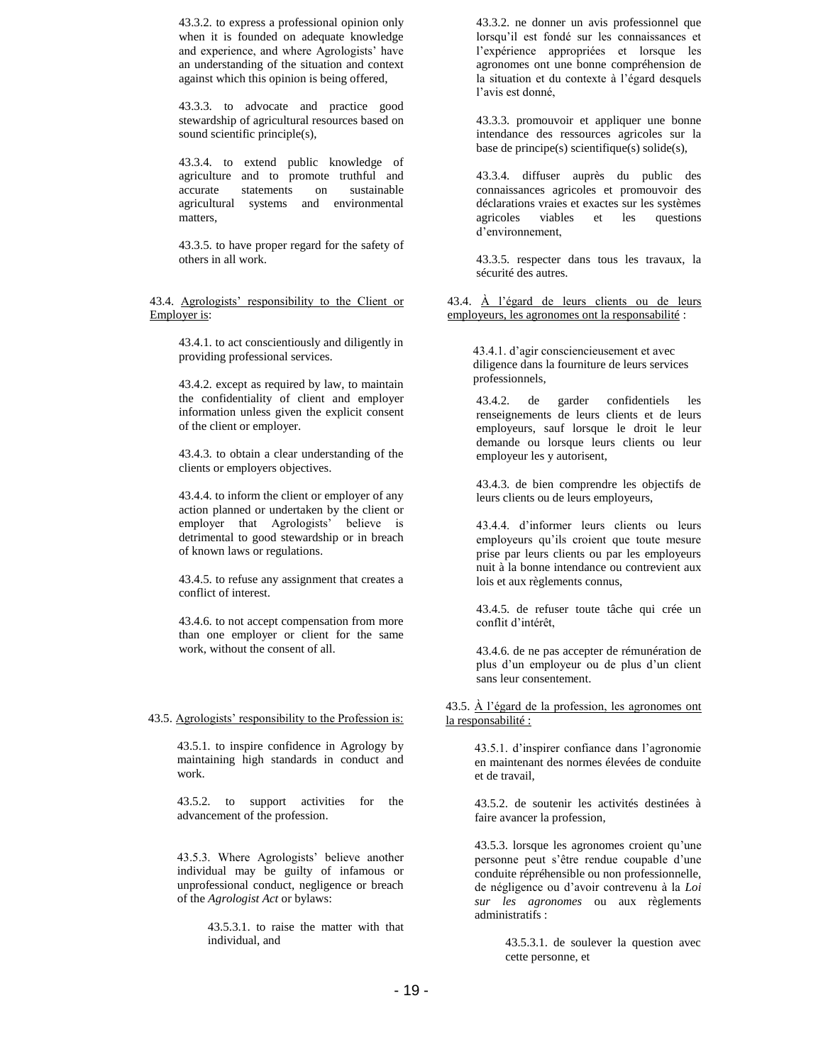43.3.2. to express a professional opinion only when it is founded on adequate knowledge and experience, and where Agrologists' have an understanding of the situation and context against which this opinion is being offered,

43.3.3. to advocate and practice good stewardship of agricultural resources based on sound scientific principle(s),

43.3.4. to extend public knowledge of agriculture and to promote truthful and accurate statements on sustainable agricultural systems and environmental matters,

43.3.5. to have proper regard for the safety of others in all work.

43.4. Agrologists' responsibility to the Client or Employer is:

> 43.4.1. to act conscientiously and diligently in providing professional services.

43.4.2. except as required by law, to maintain the confidentiality of client and employer information unless given the explicit consent of the client or employer.

43.4.3. to obtain a clear understanding of the clients or employers objectives.

43.4.4. to inform the client or employer of any action planned or undertaken by the client or employer that Agrologists' believe is detrimental to good stewardship or in breach of known laws or regulations.

43.4.5. to refuse any assignment that creates a conflict of interest.

43.4.6. to not accept compensation from more than one employer or client for the same work, without the consent of all.

43.5. Agrologists' responsibility to the Profession is:

43.5.1. to inspire confidence in Agrology by maintaining high standards in conduct and work.

43.5.2. to support activities for the advancement of the profession.

43.5.3. Where Agrologists' believe another individual may be guilty of infamous or unprofessional conduct, negligence or breach of the *Agrologist Act* or bylaws:

> 43.5.3.1. to raise the matter with that individual, and

43.3.2. ne donner un avis professionnel que lorsqu'il est fondé sur les connaissances et l'expérience appropriées et lorsque les agronomes ont une bonne compréhension de la situation et du contexte à l'égard desquels l'avis est donné,

43.3.3. promouvoir et appliquer une bonne intendance des ressources agricoles sur la base de principe(s) scientifique(s) solide(s),

43.3.4. diffuser auprès du public des connaissances agricoles et promouvoir des déclarations vraies et exactes sur les systèmes agricoles viables et les questions d'environnement,

43.3.5. respecter dans tous les travaux, la sécurité des autres.

43.4. À l'égard de leurs clients ou de leurs employeurs, les agronomes ont la responsabilité :

43.4.1. d'agir consciencieusement et avec diligence dans la fourniture de leurs services professionnels,

43.4.2. de garder confidentiels les renseignements de leurs clients et de leurs employeurs, sauf lorsque le droit le leur demande ou lorsque leurs clients ou leur employeur les y autorisent,

43.4.3. de bien comprendre les objectifs de leurs clients ou de leurs employeurs,

43.4.4. d'informer leurs clients ou leurs employeurs qu'ils croient que toute mesure prise par leurs clients ou par les employeurs nuit à la bonne intendance ou contrevient aux lois et aux règlements connus,

43.4.5. de refuser toute tâche qui crée un conflit d'intérêt,

43.4.6. de ne pas accepter de rémunération de plus d'un employeur ou de plus d'un client sans leur consentement.

43.5. À l'égard de la profession, les agronomes ont la responsabilité :

> 43.5.1. d'inspirer confiance dans l'agronomie en maintenant des normes élevées de conduite et de travail,

> 43.5.2. de soutenir les activités destinées à faire avancer la profession,

> 43.5.3. lorsque les agronomes croient qu'une personne peut s'être rendue coupable d'une conduite répréhensible ou non professionnelle, de négligence ou d'avoir contrevenu à la *Loi sur les agronomes* ou aux règlements administratifs :

> > 43.5.3.1. de soulever la question avec cette personne, et